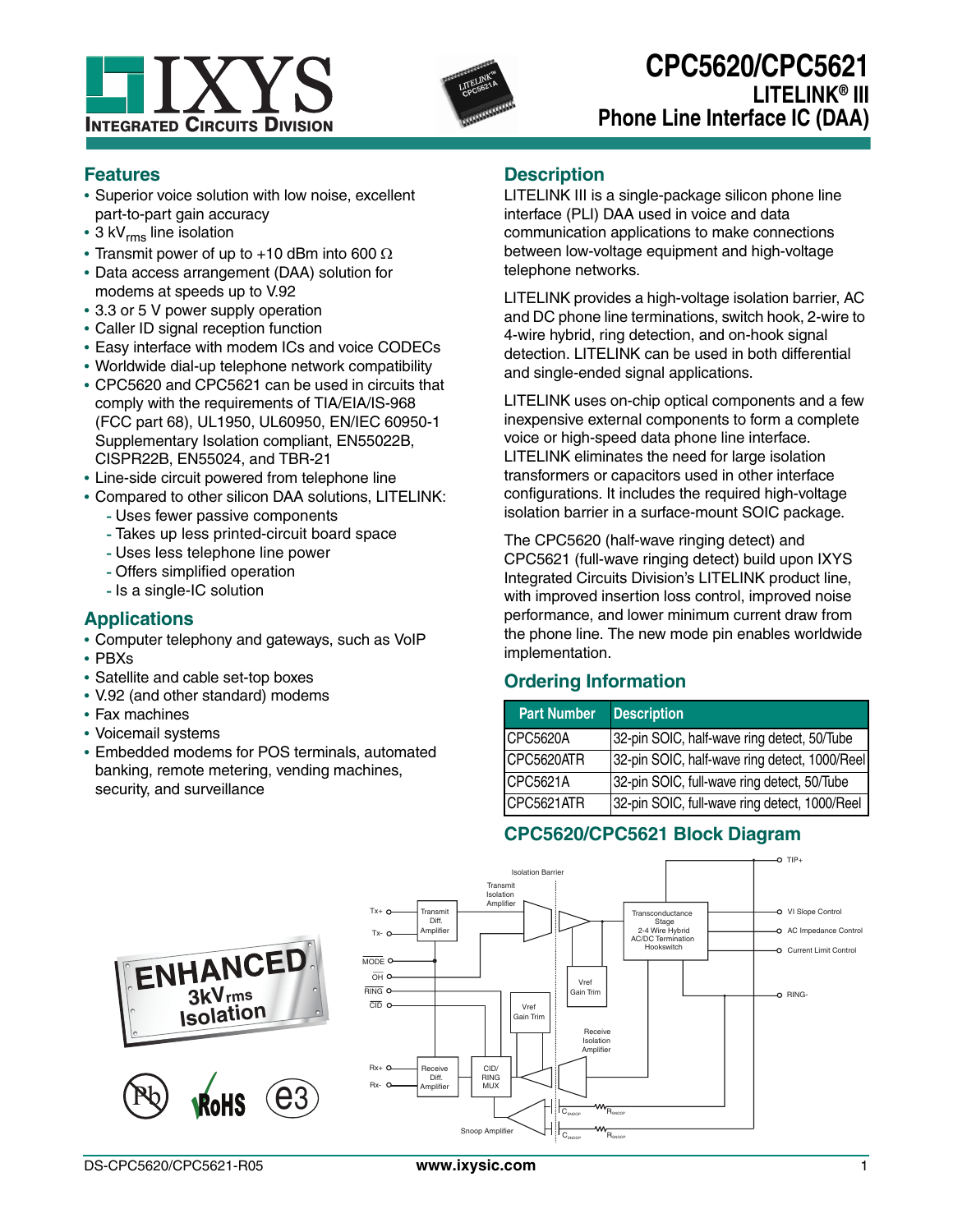



## **Features**

- **•** Superior voice solution with low noise, excellent part-to-part gain accuracy
- 3 kV<sub>rms</sub> line isolation
- Transmit power of up to  $+10$  dBm into 600  $\Omega$
- **•** Data access arrangement (DAA) solution for modems at speeds up to V.92
- **•** 3.3 or 5 V power supply operation
- **•** Caller ID signal reception function
- **•** Easy interface with modem ICs and voice CODECs
- **•** Worldwide dial-up telephone network compatibility
- **•** CPC5620 and CPC5621 can be used in circuits that comply with the requirements of TIA/EIA/IS-968 (FCC part 68), UL1950, UL60950, EN/IEC 60950-1 Supplementary Isolation compliant, EN55022B, CISPR22B, EN55024, and TBR-21
- **•** Line-side circuit powered from telephone line
- **•** Compared to other silicon DAA solutions, LITELINK:
	- Uses fewer passive components
	- Takes up less printed-circuit board space
	- Uses less telephone line power
	- Offers simplified operation
	- Is a single-IC solution

## **Applications**

- **•** Computer telephony and gateways, such as VoIP
- **•** PBXs
- **•** Satellite and cable set-top boxes
- **•** V.92 (and other standard) modems
- **•** Fax machines
- **•** Voicemail systems
- **•** Embedded modems for POS terminals, automated banking, remote metering, vending machines, security, and surveillance

## **Description**

LITELINK III is a single-package silicon phone line interface (PLI) DAA used in voice and data communication applications to make connections between low-voltage equipment and high-voltage telephone networks.

LITELINK provides a high-voltage isolation barrier, AC and DC phone line terminations, switch hook, 2-wire to 4-wire hybrid, ring detection, and on-hook signal detection. LITELINK can be used in both differential and single-ended signal applications.

LITELINK uses on-chip optical components and a few inexpensive external components to form a complete voice or high-speed data phone line interface. LITELINK eliminates the need for large isolation transformers or capacitors used in other interface configurations. It includes the required high-voltage isolation barrier in a surface-mount SOIC package.

The CPC5620 (half-wave ringing detect) and CPC5621 (full-wave ringing detect) build upon IXYS Integrated Circuits Division's LITELINK product line, with improved insertion loss control, improved noise performance, and lower minimum current draw from the phone line. The new mode pin enables worldwide implementation.

# **Ordering Information**

| <b>Part Number</b> | <b>Description</b>                            |
|--------------------|-----------------------------------------------|
| CPC5620A           | 32-pin SOIC, half-wave ring detect, 50/Tube   |
| CPC5620ATR         | 32-pin SOIC, half-wave ring detect, 1000/Reel |
| CPC5621A           | 32-pin SOIC, full-wave ring detect, 50/Tube   |
| CPC5621ATR         | 32-pin SOIC, full-wave ring detect, 1000/Reel |

# **CPC5620/CPC5621 Block Diagram**

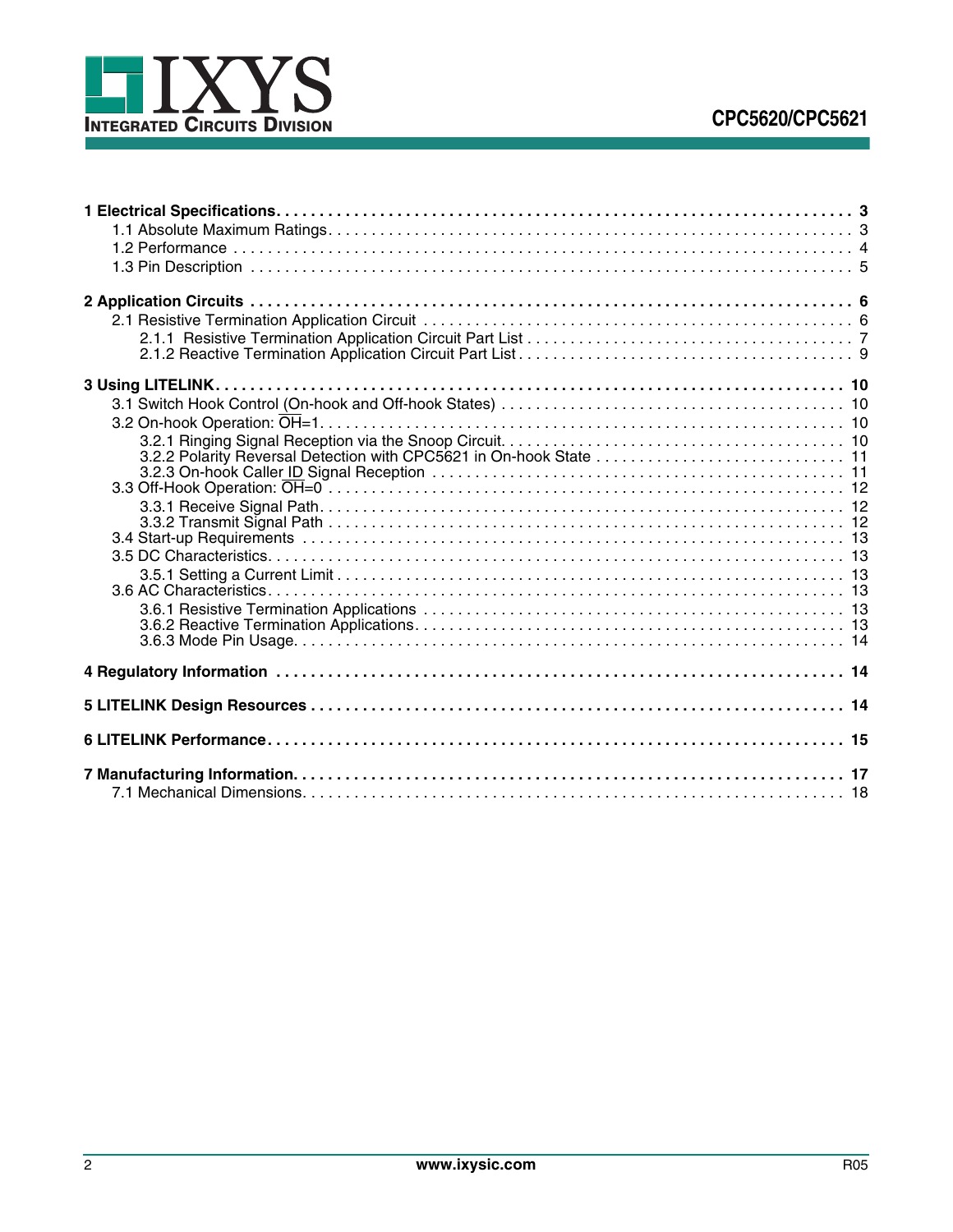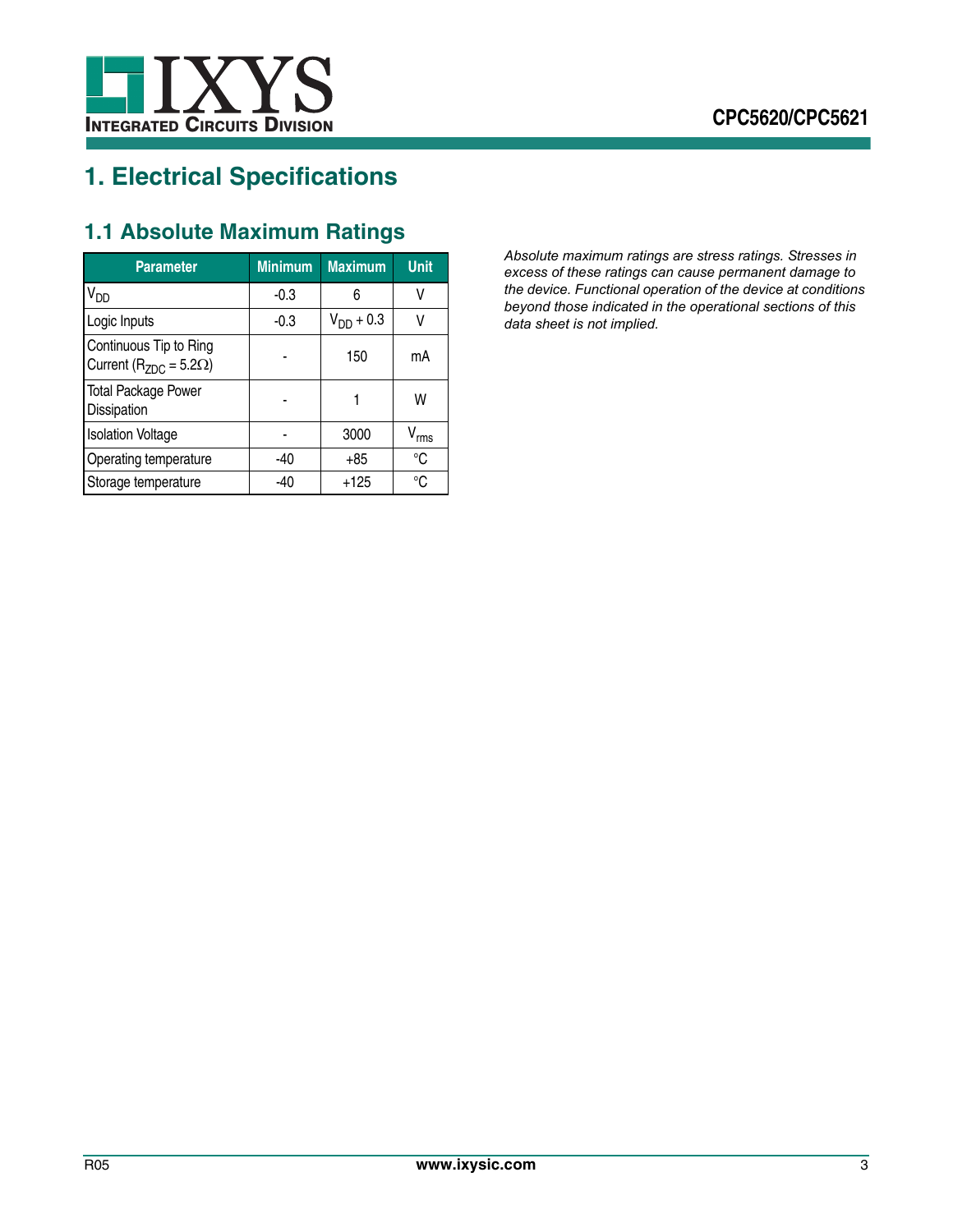

# <span id="page-2-0"></span>**1. Electrical Specifications**

<span id="page-2-1"></span>

|  |  | <b>1.1 Absolute Maximum Ratings</b> |  |
|--|--|-------------------------------------|--|
|--|--|-------------------------------------|--|

| <b>Parameter</b>                                               | <b>Minimum</b> | <b>Maximum</b> | <b>Unit</b> |
|----------------------------------------------------------------|----------------|----------------|-------------|
| $V_{DD}$                                                       | $-0.3$         | 6              | ٧           |
| Logic Inputs                                                   | -0.3           | $V_{DD}$ + 0.3 | V           |
| Continuous Tip to Ring<br>Current ( $R_{ZDC}$ = 5.2 $\Omega$ ) |                | 150            | mA          |
| <b>Total Package Power</b><br>Dissipation                      |                |                | W           |
| <b>Isolation Voltage</b>                                       |                | 3000           | $V_{rms}$   |
| Operating temperature                                          | -40            | +85            | °C          |
| Storage temperature                                            | -40            | $+125$         | °C          |

*Absolute maximum ratings are stress ratings. Stresses in excess of these ratings can cause permanent damage to the device. Functional operation of the device at conditions beyond those indicated in the operational sections of this data sheet is not implied.*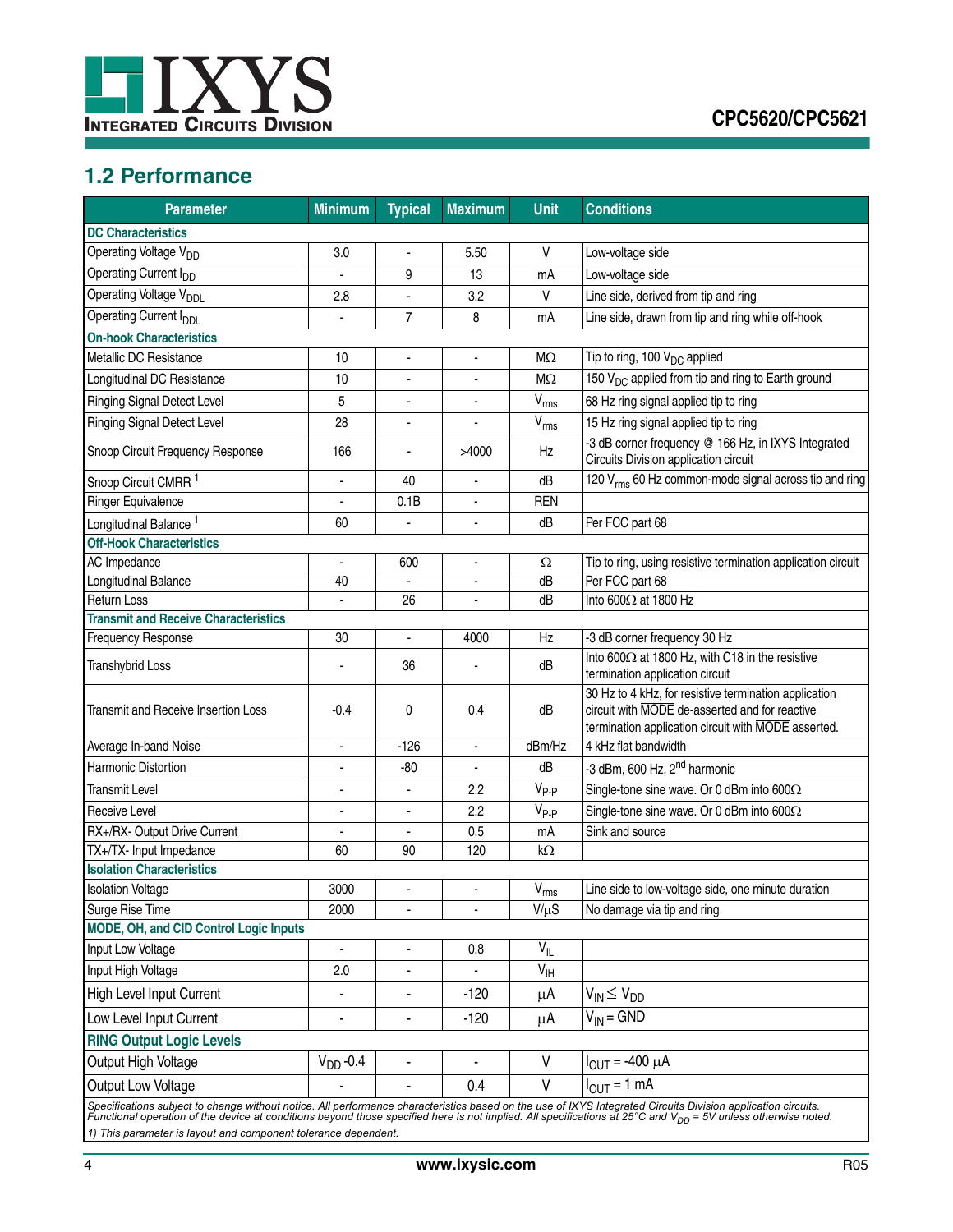

# <span id="page-3-0"></span>**1.2 Performance**

| <b>Parameter</b>                              | <b>Minimum</b> | <b>Typical</b>               | <b>Maximum</b>           | <b>Unit</b>     | <b>Conditions</b>                                                                                                                                              |
|-----------------------------------------------|----------------|------------------------------|--------------------------|-----------------|----------------------------------------------------------------------------------------------------------------------------------------------------------------|
| <b>DC Characteristics</b>                     |                |                              |                          |                 |                                                                                                                                                                |
| Operating Voltage V <sub>DD</sub>             | 3.0            |                              | 5.50                     | V               | Low-voltage side                                                                                                                                               |
| Operating Current I <sub>DD</sub>             | ä,             | 9                            | 13                       | mA              | Low-voltage side                                                                                                                                               |
| Operating Voltage V <sub>DDL</sub>            | 2.8            |                              | 3.2                      | V               | Line side, derived from tip and ring                                                                                                                           |
| Operating Current I <sub>DDI</sub>            |                | 7                            | 8                        | mA              | Line side, drawn from tip and ring while off-hook                                                                                                              |
| <b>On-hook Characteristics</b>                |                |                              |                          |                 |                                                                                                                                                                |
| Metallic DC Resistance                        | 10             | ä,                           | ä,                       | $M\Omega$       | Tip to ring, 100 $V_{DC}$ applied                                                                                                                              |
| Longitudinal DC Resistance                    | 10             | ä,                           | ä,                       | $M\Omega$       | 150 V <sub>DC</sub> applied from tip and ring to Earth ground                                                                                                  |
| <b>Ringing Signal Detect Level</b>            | 5              |                              |                          | $V_{rms}$       | 68 Hz ring signal applied tip to ring                                                                                                                          |
| <b>Ringing Signal Detect Level</b>            | 28             | ٠                            | ٠                        | $V_{rms}$       | 15 Hz ring signal applied tip to ring                                                                                                                          |
| Snoop Circuit Frequency Response              | 166            |                              | >4000                    | Hz              | -3 dB corner frequency @ 166 Hz, in IXYS Integrated<br>Circuits Division application circuit                                                                   |
| Snoop Circuit CMRR <sup>1</sup>               | ÷              | 40                           | L,                       | dB              | 120 V <sub>rms</sub> 60 Hz common-mode signal across tip and ring                                                                                              |
| <b>Ringer Equivalence</b>                     |                | 0.1B                         | $\blacksquare$           | <b>REN</b>      |                                                                                                                                                                |
| Longitudinal Balance <sup>1</sup>             | 60             |                              |                          | dB              | Per FCC part 68                                                                                                                                                |
| <b>Off-Hook Characteristics</b>               |                |                              |                          |                 |                                                                                                                                                                |
| AC Impedance                                  | $\blacksquare$ | 600                          | $\blacksquare$           | Ω               | Tip to ring, using resistive termination application circuit                                                                                                   |
| Longitudinal Balance                          | 40             |                              | $\overline{\phantom{a}}$ | dB              | Per FCC part 68                                                                                                                                                |
| <b>Return Loss</b>                            | ÷,             | 26                           | $\blacksquare$           | dB              | Into 600Ω at 1800 Hz                                                                                                                                           |
| <b>Transmit and Receive Characteristics</b>   |                |                              |                          |                 |                                                                                                                                                                |
| Frequency Response                            | 30             | $\qquad \qquad \blacksquare$ | 4000                     | Hz              | -3 dB corner frequency 30 Hz                                                                                                                                   |
| <b>Transhybrid Loss</b>                       |                | 36                           |                          | dB              | Into 600 $\Omega$ at 1800 Hz, with C18 in the resistive<br>termination application circuit                                                                     |
| Transmit and Receive Insertion Loss           | -0.4           | 0                            | 0.4                      | dB              | 30 Hz to 4 kHz, for resistive termination application<br>circuit with MODE de-asserted and for reactive<br>termination application circuit with MODE asserted. |
| Average In-band Noise                         | $\blacksquare$ | $-126$                       | $\blacksquare$           | dBm/Hz          | 4 kHz flat bandwidth                                                                                                                                           |
| Harmonic Distortion                           | $\overline{a}$ | $-80$                        | $\overline{\phantom{a}}$ | dB              | -3 dBm, 600 Hz, 2 <sup>nd</sup> harmonic                                                                                                                       |
| <b>Transmit Level</b>                         |                |                              | 2.2                      | $V_{P-P}$       | Single-tone sine wave. Or 0 dBm into $600\Omega$                                                                                                               |
| Receive Level                                 |                |                              | 2.2                      | $V_{P-P}$       | Single-tone sine wave. Or 0 dBm into $600\Omega$                                                                                                               |
| RX+/RX- Output Drive Current                  | ٠              | $\blacksquare$               | 0.5                      | mA              | Sink and source                                                                                                                                                |
| TX+/TX- Input Impedance                       | 60             | 90                           | 120                      | kΩ              |                                                                                                                                                                |
| <b>Isolation Characteristics</b>              |                |                              |                          |                 |                                                                                                                                                                |
| <b>Isolation Voltage</b>                      | 3000           |                              | -                        | $\rm V_{rms}$   | Line side to low-voltage side, one minute duration                                                                                                             |
| Surge Rise Time                               | 2000           | $\blacksquare$               | $\blacksquare$           | $V/\mu S$       | No damage via tip and ring                                                                                                                                     |
| <b>MODE, OH, and CID Control Logic Inputs</b> |                |                              |                          |                 |                                                                                                                                                                |
| Input Low Voltage                             | ä,             | $\blacksquare$               | 0.8                      | $V_{IL}$        |                                                                                                                                                                |
| Input High Voltage                            | 2.0            |                              |                          | $V_{\text{IH}}$ |                                                                                                                                                                |
| High Level Input Current                      | ٠              | $\overline{\phantom{a}}$     | $-120$                   | μA              | $V_{IN} \leq V_{DD}$                                                                                                                                           |
| Low Level Input Current                       | $\blacksquare$ | $\overline{a}$               | $-120$                   | μA              | $V_{IN} = GND$                                                                                                                                                 |
| <b>RING Output Logic Levels</b>               |                |                              |                          |                 |                                                                                                                                                                |
| Output High Voltage                           | $V_{DD}$ -0.4  |                              |                          | V               | $I_{OUT} = -400 \mu A$                                                                                                                                         |
| Output Low Voltage                            |                | ä,                           | 0.4                      | V               | $I_{\text{OUT}} = 1$ mA                                                                                                                                        |
|                                               |                |                              |                          |                 | Specifications subject to change without notice. All performance characteristics based on the use of IXYS Integrated Circuits Division application circuits.   |

Specifications subject to change without notice. All performance characteristics based on the use of IXYS Integrated Circuits Division application circuits.<br>Functional operation of the device at conditions beyond those spe *1) This parameter is layout and component tolerance dependent.*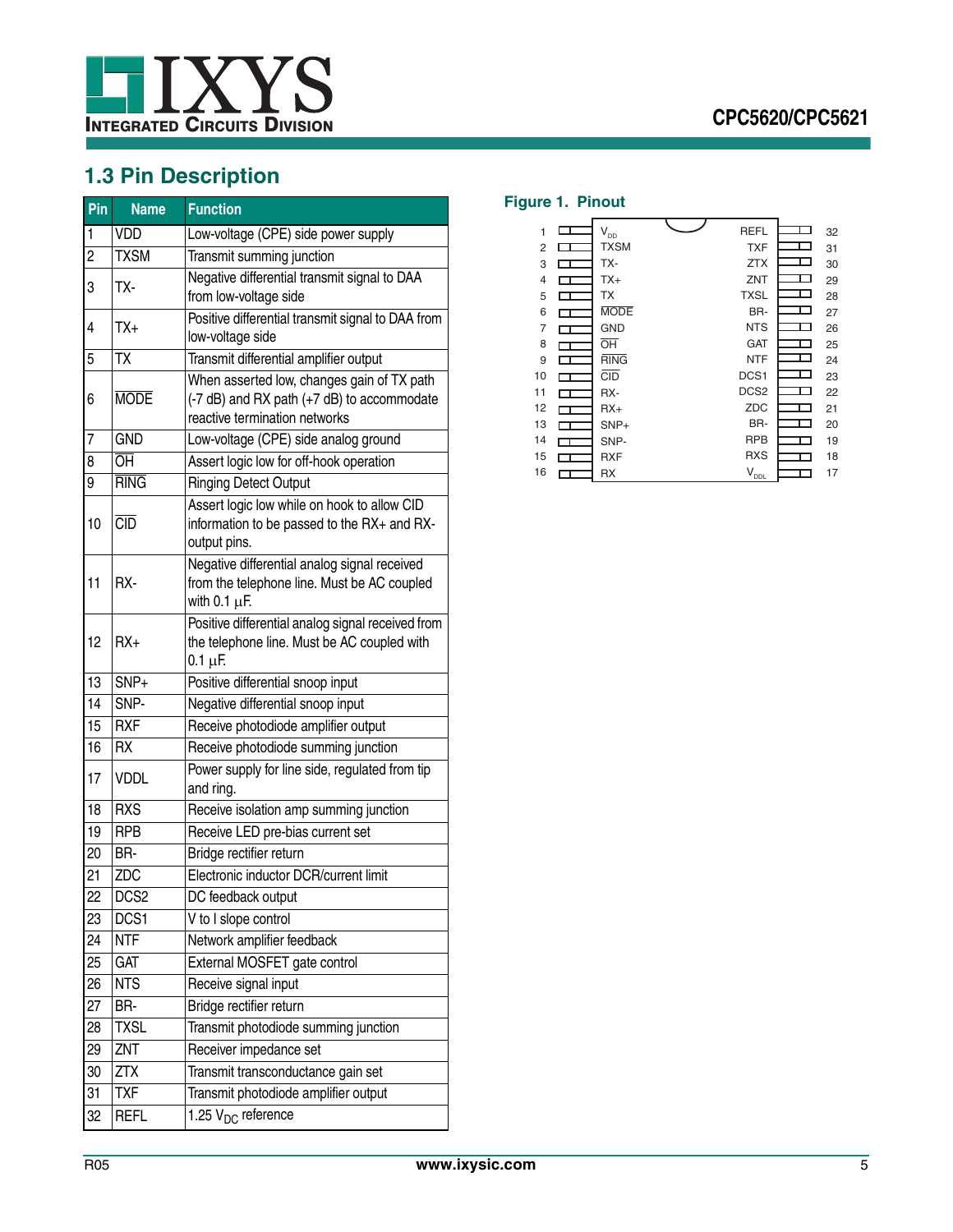

# <span id="page-4-0"></span>**1.3 Pin Description**

| Pin            | <b>Name</b>                       | <b>Function</b>                                                                                                           |
|----------------|-----------------------------------|---------------------------------------------------------------------------------------------------------------------------|
| 1              | <b>VDD</b>                        | Low-voltage (CPE) side power supply                                                                                       |
| $\overline{c}$ | <b>TXSM</b>                       | Transmit summing junction                                                                                                 |
| 3              | TX-                               | Negative differential transmit signal to DAA<br>from low-voltage side                                                     |
| 4              | TX+                               | Positive differential transmit signal to DAA from<br>low-voltage side                                                     |
| 5              | TX                                | Transmit differential amplifier output                                                                                    |
| 6              | <b>MODE</b>                       | When asserted low, changes gain of TX path<br>(-7 dB) and RX path (+7 dB) to accommodate<br>reactive termination networks |
| 7              | <b>GND</b>                        | Low-voltage (CPE) side analog ground                                                                                      |
| 8              | $\overline{\overline{\text{OH}}}$ | Assert logic low for off-hook operation                                                                                   |
| 9              | <b>RING</b>                       | <b>Ringing Detect Output</b>                                                                                              |
| 10             | CD                                | Assert logic low while on hook to allow CID<br>information to be passed to the RX+ and RX-<br>output pins.                |
| 11             | RX-                               | Negative differential analog signal received<br>from the telephone line. Must be AC coupled<br>with $0.1 \mu F$ .         |
| 12             | $RX+$                             | Positive differential analog signal received from<br>the telephone line. Must be AC coupled with<br>$0.1 \mu F$           |
| 13             | SNP+                              | Positive differential snoop input                                                                                         |
| 14             | SNP-                              | Negative differential snoop input                                                                                         |
| 15             | <b>RXF</b>                        | Receive photodiode amplifier output                                                                                       |
| 16             | <b>RX</b>                         | Receive photodiode summing junction                                                                                       |
| 17             | <b>VDDL</b>                       | Power supply for line side, regulated from tip<br>and ring.                                                               |
| 18             | <b>RXS</b>                        | Receive isolation amp summing junction                                                                                    |
| 19             | <b>RPB</b>                        | Receive LED pre-bias current set                                                                                          |
| 20             | BR-                               | Bridge rectifier return                                                                                                   |
| 21             | ZDC                               | Electronic inductor DCR/current limit                                                                                     |
| 22             | DCS <sub>2</sub>                  | DC feedback output                                                                                                        |
| 23             | DCS1                              | V to I slope control                                                                                                      |
| 24             | <b>NTF</b>                        | Network amplifier feedback                                                                                                |
| 25             | <b>GAT</b>                        | External MOSFET gate control                                                                                              |
| 26             | <b>NTS</b>                        | Receive signal input                                                                                                      |
| 27             | BR-                               | Bridge rectifier return                                                                                                   |
| 28             | <b>TXSL</b>                       | Transmit photodiode summing junction                                                                                      |
| 29             | ZNT                               | Receiver impedance set                                                                                                    |
| 30             | <b>ZTX</b>                        | Transmit transconductance gain set                                                                                        |
| 31             | <b>TXF</b>                        | Transmit photodiode amplifier output                                                                                      |
| 32             | REFL                              | 1.25 V <sub>DC</sub> reference                                                                                            |

## **Figure 1. Pinout**

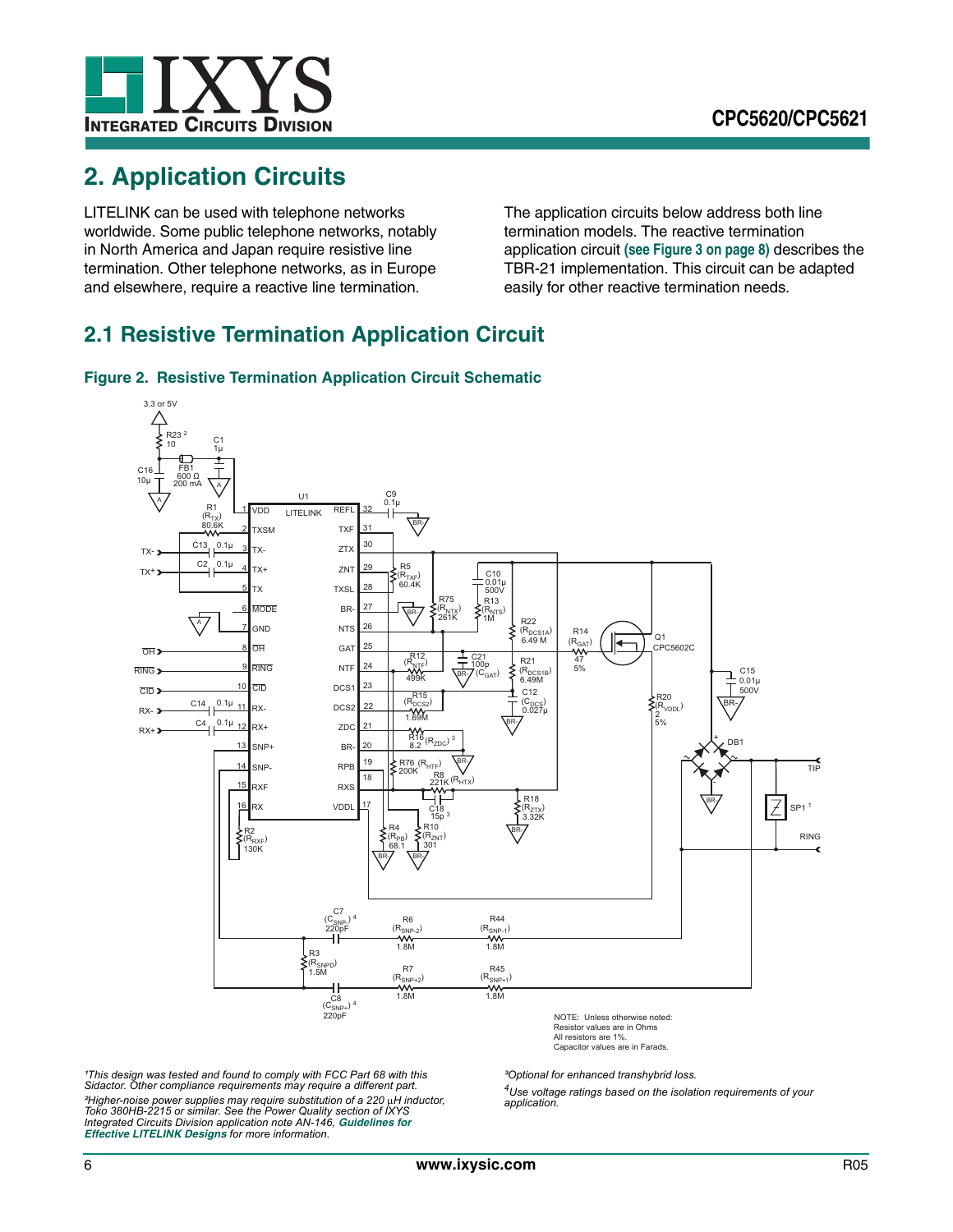

# <span id="page-5-0"></span>**2. Application Circuits**

LITELINK can be used with telephone networks worldwide. Some public telephone networks, notably in North America and Japan require resistive line termination. Other telephone networks, as in Europe and elsewhere, require a reactive line termination.

The application circuits below address both line termination models. The reactive termination application circuit **[\(see Figure 3 on page 8\)](#page-7-0)** describes the TBR-21 implementation. This circuit can be adapted easily for other reactive termination needs.

# <span id="page-5-1"></span>**2.1 Resistive Termination Application Circuit**

<span id="page-5-2"></span>



All resistors are 1%. Capacitor values are in Farads.

<sup>1</sup>This design was tested and found to comply with FCC Part 68 with this *Sidactor. Other compliance requirements may require a different part. <sup>2</sup>Higher-noise power supplies may require substitution of a 220 μH inductor, Toko 380HB-2215 or similar. See the Power Quality section of IXYS Integrated Circuits Division application note AN-146, [Guidelines for](http://www.clare.com/home/PDFs.nsf/www/an-146.pdf/$File/an-146.pdf)  [Effective LITELINK Designs](http://www.clare.com/home/PDFs.nsf/www/an-146.pdf/$File/an-146.pdf) for more information.*

*³Optional for enhanced transhybrid loss.*

*4Use voltage ratings based on the isolation requirements of your application.*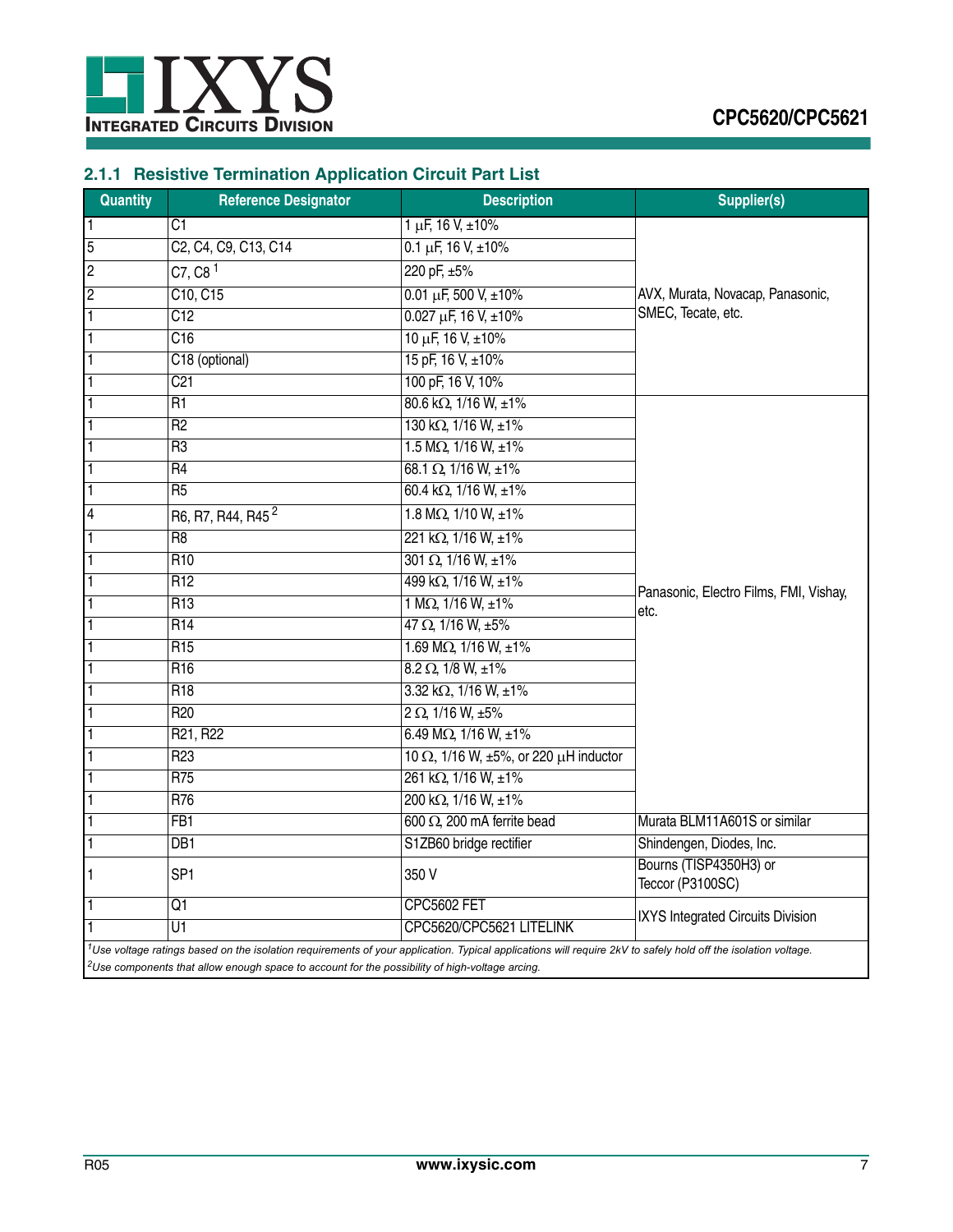![](_page_6_Picture_0.jpeg)

# <span id="page-6-0"></span>**2.1.1 Resistive Termination Application Circuit Part List**

| <b>Quantity</b> | <b>Reference Designator</b>                                                                                | <b>Description</b>                                                                                                                                                        | <b>Supplier(s)</b>                             |
|-----------------|------------------------------------------------------------------------------------------------------------|---------------------------------------------------------------------------------------------------------------------------------------------------------------------------|------------------------------------------------|
| 1               | C1                                                                                                         | $1 \mu F$ , 16 V, $\pm 10\%$                                                                                                                                              |                                                |
| 5               | C2, C4, C9, C13, C14                                                                                       | $0.1 \mu F$ , 16 V, $\pm 10\%$                                                                                                                                            |                                                |
| 2               | C7, C8 <sup>1</sup>                                                                                        | 220 pF, ±5%                                                                                                                                                               |                                                |
| $\overline{2}$  | C10, C15                                                                                                   | $0.01 \mu F$ , 500 V, ±10%                                                                                                                                                | AVX, Murata, Novacap, Panasonic,               |
| 1               | C12                                                                                                        | $0.027 \mu F$ , 16 V, ±10%                                                                                                                                                | SMEC, Tecate, etc.                             |
| 1               | C16                                                                                                        | 10 µF, 16 V, ±10%                                                                                                                                                         |                                                |
|                 | C18 (optional)                                                                                             | 15 pF, 16 V, ±10%                                                                                                                                                         |                                                |
|                 | C <sub>21</sub>                                                                                            | 100 pF, 16 V, 10%                                                                                                                                                         |                                                |
|                 | R <sub>1</sub>                                                                                             | 80.6 kΩ, 1/16 W, ±1%                                                                                                                                                      |                                                |
| 1               | R <sub>2</sub>                                                                                             | 130 kΩ, 1/16 W, ±1%                                                                                                                                                       |                                                |
| $\overline{1}$  | R <sub>3</sub>                                                                                             | $1.5 M\Omega, 1/16 W, ±1%$                                                                                                                                                |                                                |
| 1               | R <sub>4</sub>                                                                                             | $68.1 \Omega$ , 1/16 W, $\pm 1\%$                                                                                                                                         |                                                |
| 1               | R <sub>5</sub>                                                                                             | 60.4 k $\Omega$ , 1/16 W, ±1%                                                                                                                                             |                                                |
| 4               | R6, R7, R44, R45 <sup>2</sup>                                                                              | 1.8 M $\Omega$ , 1/10 W, ±1%                                                                                                                                              |                                                |
| 1               | R <sub>8</sub>                                                                                             | 221 kΩ, 1/16 W, ±1%                                                                                                                                                       |                                                |
|                 | R <sub>10</sub>                                                                                            | $301 \Omega$ , $1/16 W$ , $\pm 1\%$                                                                                                                                       |                                                |
|                 | $\overline{R12}$                                                                                           | 499 kΩ, 1/16 W, ±1%                                                                                                                                                       |                                                |
|                 | R13                                                                                                        | $1 M\Omega$ , $1/16 W$ , $\pm 1\%$                                                                                                                                        | Panasonic, Electro Films, FMI, Vishay,<br>etc. |
|                 | R <sub>14</sub>                                                                                            | $47 \Omega$ , $1/16 W$ , $\pm 5\%$                                                                                                                                        |                                                |
|                 | R <sub>15</sub>                                                                                            | 1.69 M $\Omega$ , 1/16 W, $\pm$ 1%                                                                                                                                        |                                                |
|                 | R16                                                                                                        | $8.2 \Omega$ , $1/8$ W, $\pm 1\%$                                                                                                                                         |                                                |
|                 | R <sub>18</sub>                                                                                            | $3.32 \text{ k}\Omega$ , $1/16 \text{ W}$ , $\pm 1\%$                                                                                                                     |                                                |
|                 | R <sub>20</sub>                                                                                            | $2 \Omega$ , 1/16 W, $\pm 5\%$                                                                                                                                            |                                                |
|                 | R21, R22                                                                                                   | 6.49 M $\Omega$ , 1/16 W, ±1%                                                                                                                                             |                                                |
|                 | R <sub>23</sub>                                                                                            | 10 $\Omega$ , 1/16 W, ±5%, or 220 $\mu$ H inductor                                                                                                                        |                                                |
|                 | R75                                                                                                        | 261 kΩ, 1/16 W, ±1%                                                                                                                                                       |                                                |
|                 | R76                                                                                                        | 200 kΩ, 1/16 W, ±1%                                                                                                                                                       |                                                |
|                 | FB <sub>1</sub>                                                                                            | 600 $\Omega$ , 200 mA ferrite bead                                                                                                                                        | Murata BLM11A601S or similar                   |
|                 | D <sub>B1</sub>                                                                                            | S1ZB60 bridge rectifier                                                                                                                                                   | Shindengen, Diodes, Inc.                       |
| 1               | SP <sub>1</sub>                                                                                            | 350 V                                                                                                                                                                     | Bourns (TISP4350H3) or<br>Teccor (P3100SC)     |
|                 | Q1                                                                                                         | <b>CPC5602 FET</b>                                                                                                                                                        |                                                |
|                 | U1                                                                                                         | CPC5620/CPC5621 LITELINK                                                                                                                                                  | IXYS Integrated Circuits Division              |
|                 |                                                                                                            | <sup>1</sup> Use voltage ratings based on the isolation requirements of your application. Typical applications will require 2kV to safely hold off the isolation voltage. |                                                |
|                 | <sup>2</sup> Use components that allow enough space to account for the possibility of high-voltage arcing. |                                                                                                                                                                           |                                                |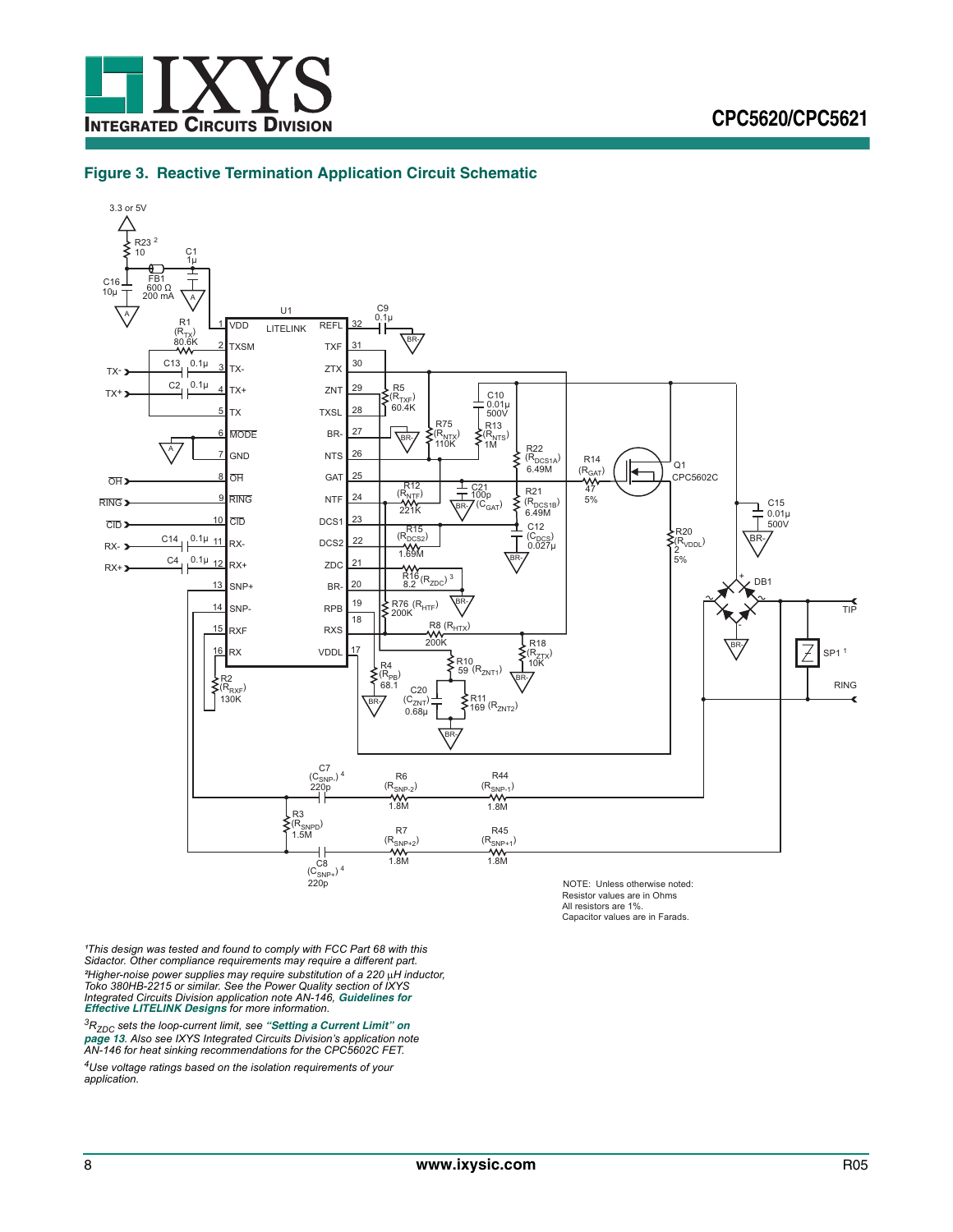![](_page_7_Picture_0.jpeg)

#### <span id="page-7-0"></span>**Figure 3. Reactive Termination Application Circuit Schematic**

![](_page_7_Figure_3.jpeg)

NOTE: Unless otherwise noted: Resistor values are in Ohms All resistors are 1%. Capacitor values are in Farads.

<sup>1</sup>This design was tested and found to comply with FCC Part 68 with this *Sidactor. Other compliance requirements may require a different part.* <sup>2</sup>Higher-noise power supplies may require substitution of a 220 μH inductor,<br>Toko 380HB-2215 or similar. See the Power Quality section of IXYS<br>Integrated Circuits Division application note AN-146, Guidelines for *[Effective LITELINK Designs](http://www.clare.com/home/PDFs.nsf/www/an-146.pdf/$File/an-146.pdf) for more information.*

*3RZDC sets the loop-current limit, see ["Setting a Current Limit" on](#page-12-2)  [page 13](#page-12-2). Also see IXYS Integrated Circuits Division's application note AN-146 for heat sinking recommendations for the CPC5602C FET.*

*4Use voltage ratings based on the isolation requirements of your application.*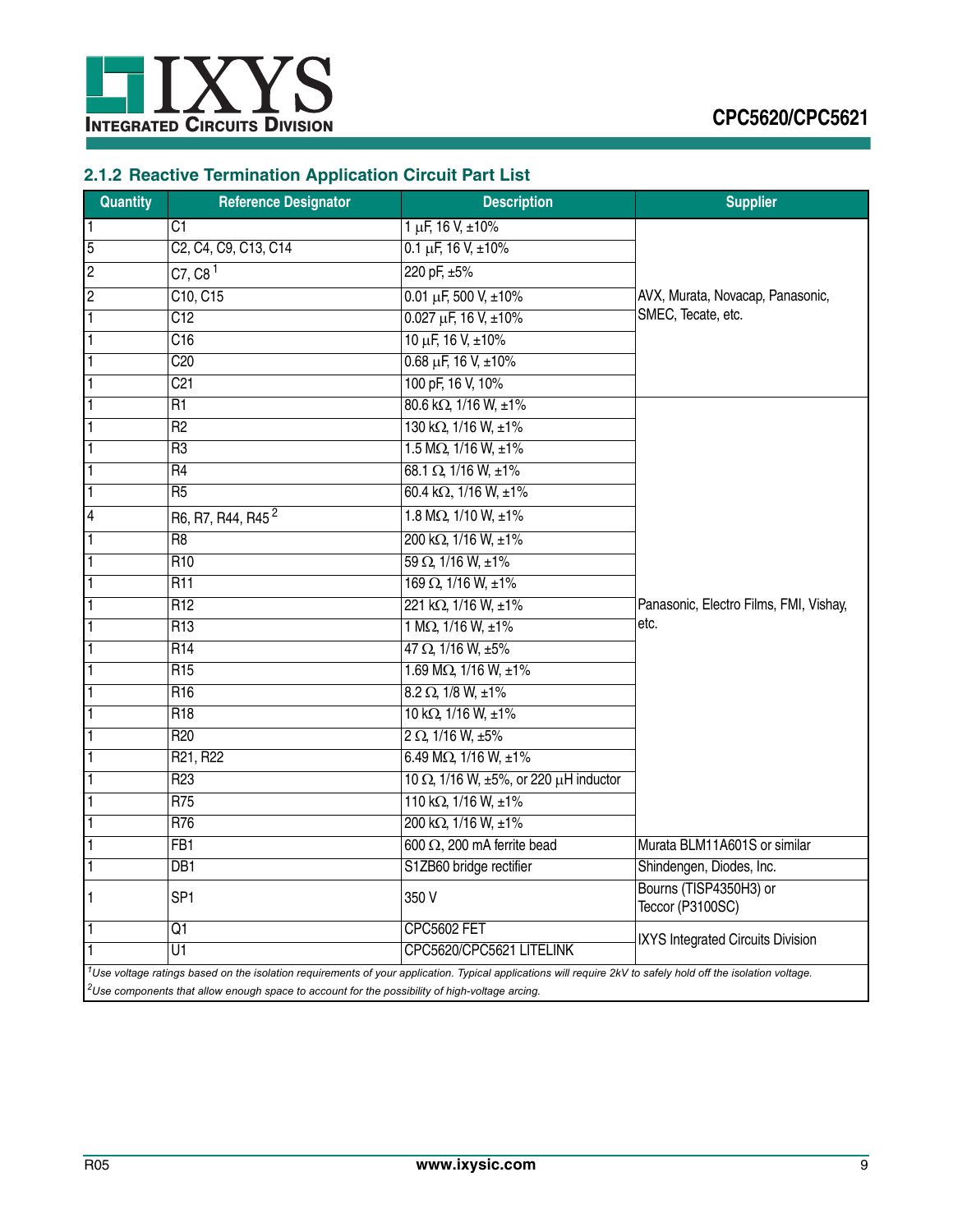![](_page_8_Picture_0.jpeg)

# <span id="page-8-0"></span>**2.1.2 Reactive Termination Application Circuit Part List**

| Quantity       | <b>Reference Designator</b>                                                                                | <b>Description</b>                                                                                                                                                | <b>Supplier</b>                            |
|----------------|------------------------------------------------------------------------------------------------------------|-------------------------------------------------------------------------------------------------------------------------------------------------------------------|--------------------------------------------|
| 1              | C1                                                                                                         | $1 \mu F$ , 16 V, $\pm 10\%$                                                                                                                                      |                                            |
| 5              | C <sub>2</sub> , C <sub>4</sub> , C <sub>9</sub> , C <sub>13</sub> , C <sub>14</sub>                       | $0.1 \mu F$ , 16 V, $\pm 10\%$                                                                                                                                    |                                            |
| $\overline{c}$ | C7, C8 <sup>1</sup>                                                                                        | 220 pF, ±5%                                                                                                                                                       |                                            |
| $\overline{c}$ | C10, C15                                                                                                   | $0.01 \mu F$ , 500 V, ±10%                                                                                                                                        | AVX, Murata, Novacap, Panasonic,           |
| 1              | C <sub>12</sub>                                                                                            | $0.027 \mu F$ , 16 V, ±10%                                                                                                                                        | SMEC, Tecate, etc.                         |
| 1              | C16                                                                                                        | $10 \mu F$ , $16 V$ , $\pm 10\%$                                                                                                                                  |                                            |
|                | C20                                                                                                        | $0.68 \mu F$ , 16 V, $\pm 10\%$                                                                                                                                   |                                            |
|                | C <sub>21</sub>                                                                                            | 100 pF, 16 V, 10%                                                                                                                                                 |                                            |
|                | R1                                                                                                         | 80.6 kΩ, 1/16 W, ±1%                                                                                                                                              |                                            |
|                | $\overline{R2}$                                                                                            | 130 kΩ, 1/16 W, ±1%                                                                                                                                               |                                            |
|                | R <sub>3</sub>                                                                                             | $1.5 M\Omega, 1/16 W, ±1%$                                                                                                                                        |                                            |
|                | $\overline{R4}$                                                                                            | $68.1 \Omega$ , 1/16 W, ±1%                                                                                                                                       |                                            |
|                | $\overline{R5}$                                                                                            | 60.4 kΩ, 1/16 W, ±1%                                                                                                                                              |                                            |
| 4              | R6, R7, R44, R45 <sup>2</sup>                                                                              | 1.8 M $\Omega$ , 1/10 W, ±1%                                                                                                                                      |                                            |
|                | R <sub>8</sub>                                                                                             | 200 kΩ, 1/16 W, ±1%                                                                                                                                               |                                            |
|                | R <sub>10</sub>                                                                                            | $59 \Omega$ , $1/16 W$ , $\pm 1\%$                                                                                                                                |                                            |
|                | <b>R11</b>                                                                                                 | $169 \Omega$ , $1/16 W$ , $\pm 1\%$                                                                                                                               |                                            |
|                | R <sub>12</sub>                                                                                            | 221 kΩ, 1/16 W, ±1%                                                                                                                                               | Panasonic, Electro Films, FMI, Vishay,     |
|                | R <sub>13</sub>                                                                                            | 1 M $\Omega$ , 1/16 W, $\pm 1\%$                                                                                                                                  | etc.                                       |
|                | R <sub>14</sub>                                                                                            | $47 \Omega$ , $1/16 W$ , $\pm 5\%$                                                                                                                                |                                            |
|                | R <sub>15</sub>                                                                                            | 1.69 M $\Omega$ , 1/16 W, $\pm$ 1%                                                                                                                                |                                            |
|                | R <sub>16</sub>                                                                                            | $8.2 \Omega$ , $1/8$ W, $\pm 1\%$                                                                                                                                 |                                            |
|                | R <sub>18</sub>                                                                                            | $10 \text{ k}\Omega$ , $1/16 \text{ W}$ , $\pm 1\%$                                                                                                               |                                            |
|                | R <sub>20</sub>                                                                                            | $2 \Omega$ , 1/16 W, $\pm 5\%$                                                                                                                                    |                                            |
|                | R21, R22                                                                                                   | 6.49 M $\Omega$ , 1/16 W, $\pm$ 1%                                                                                                                                |                                            |
|                | R <sub>23</sub>                                                                                            | 10 $\Omega$ , 1/16 W, ±5%, or 220 $\mu$ H inductor                                                                                                                |                                            |
|                | R75                                                                                                        | 110 k $\Omega$ , 1/16 W, ±1%                                                                                                                                      |                                            |
|                | R76                                                                                                        | 200 kΩ, 1/16 W, ±1%                                                                                                                                               |                                            |
|                | FB <sub>1</sub>                                                                                            | 600 $\Omega$ , 200 mA ferrite bead                                                                                                                                | Murata BLM11A601S or similar               |
| 1              | DB1                                                                                                        | S1ZB60 bridge rectifier                                                                                                                                           | Shindengen, Diodes, Inc.                   |
| 1              | SP <sub>1</sub>                                                                                            | 350 V                                                                                                                                                             | Bourns (TISP4350H3) or<br>Teccor (P3100SC) |
| 1              | $\overline{Q1}$                                                                                            | <b>CPC5602 FET</b>                                                                                                                                                |                                            |
|                | U1                                                                                                         | CPC5620/CPC5621 LITELINK                                                                                                                                          | IXYS Integrated Circuits Division          |
|                | <sup>2</sup> Use components that allow enough space to account for the possibility of high-voltage arcing. | $^1$ Use voltage ratings based on the isolation requirements of your application. Typical applications will require 2kV to safely hold off the isolation voltage. |                                            |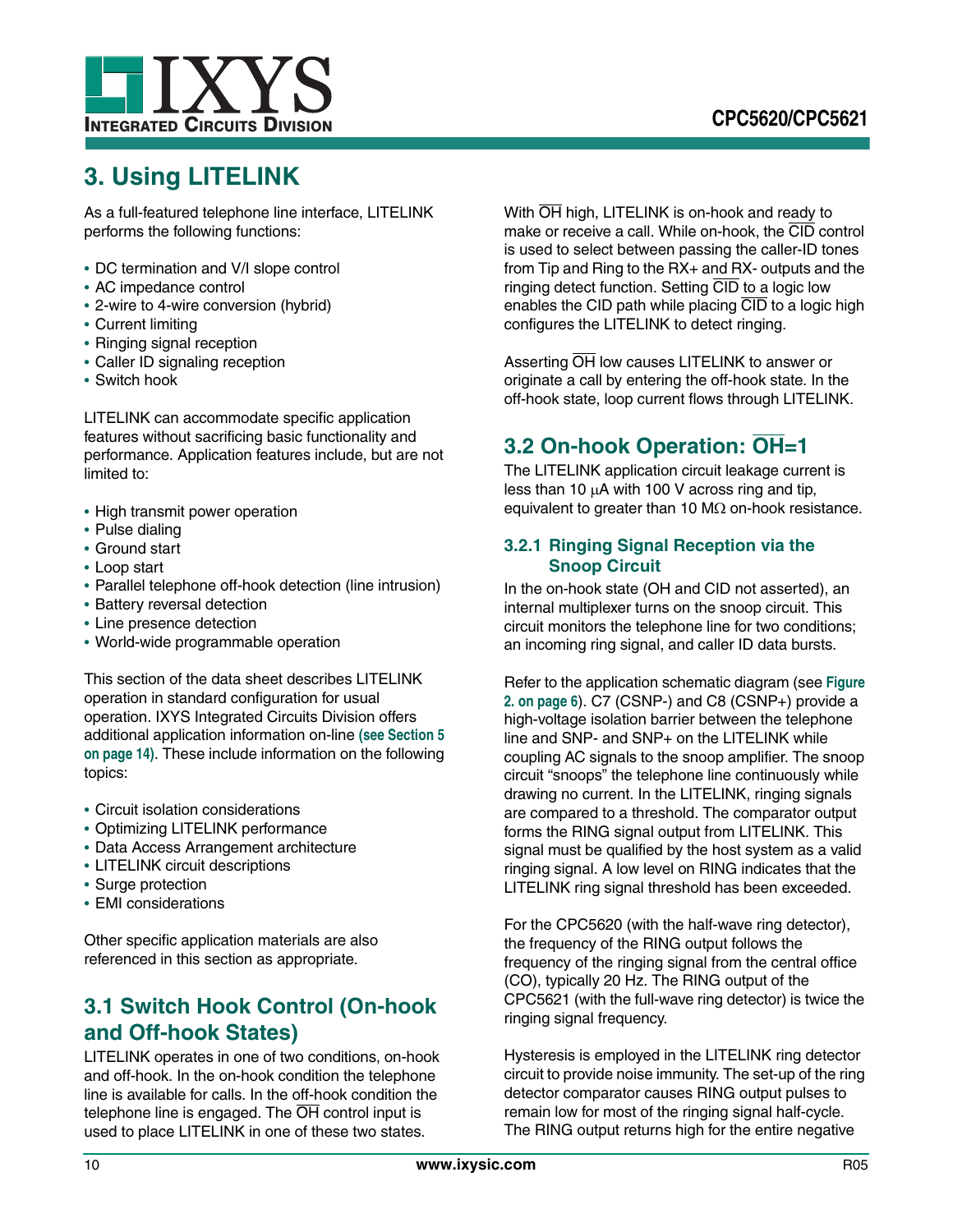![](_page_9_Picture_0.jpeg)

# <span id="page-9-0"></span>**3. Using LITELINK**

As a full-featured telephone line interface, LITELINK performs the following functions:

- **•** DC termination and V/I slope control
- **•** AC impedance control
- **•** 2-wire to 4-wire conversion (hybrid)
- **•** Current limiting
- **•** Ringing signal reception
- **•** Caller ID signaling reception
- **•** Switch hook

LITELINK can accommodate specific application features without sacrificing basic functionality and performance. Application features include, but are not limited to:

- **•** High transmit power operation
- **•** Pulse dialing
- **•** Ground start
- **•** Loop start
- **•** Parallel telephone off-hook detection (line intrusion)
- **•** Battery reversal detection
- **•** Line presence detection
- **•** World-wide programmable operation

This section of the data sheet describes LITELINK operation in standard configuration for usual operation. IXYS Integrated Circuits Division offers additional application information on-line **[\(see Section 5](#page-13-2)  [on page 14\)](#page-13-2)**. These include information on the following topics:

- **•** Circuit isolation considerations
- **•** Optimizing LITELINK performance
- **•** Data Access Arrangement architecture
- **•** LITELINK circuit descriptions
- **•** Surge protection
- **•** EMI considerations

Other specific application materials are also referenced in this section as appropriate.

# <span id="page-9-1"></span>**3.1 Switch Hook Control (On-hook and Off-hook States)**

LITELINK operates in one of two conditions, on-hook and off-hook. In the on-hook condition the telephone line is available for calls. In the off-hook condition the telephone line is engaged. The  $\overline{OH}$  control input is used to place LITELINK in one of these two states.

With  $\overline{OH}$  high, LITELINK is on-hook and ready to make or receive a call. While on-hook, the CID control is used to select between passing the caller-ID tones from Tip and Ring to the RX+ and RX- outputs and the ringing detect function. Setting CID to a logic low enables the CID path while placing CID to a logic high configures the LITELINK to detect ringing.

Asserting  $\overline{OH}$  low causes LITELINK to answer or originate a call by entering the off-hook state. In the off-hook state, loop current flows through LITELINK.

# <span id="page-9-2"></span>**3.2 On-hook Operation: OH=1**

The LITELINK application circuit leakage current is less than 10  $\mu$ A with 100 V across ring and tip, equivalent to greater than 10 M $\Omega$  on-hook resistance.

## <span id="page-9-3"></span>**3.2.1 Ringing Signal Reception via the Snoop Circuit**

In the on-hook state (OH and CID not asserted), an internal multiplexer turns on the snoop circuit. This circuit monitors the telephone line for two conditions; an incoming ring signal, and caller ID data bursts.

Refer to the application schematic diagram (see **[Figure](#page-5-2)  [2. on page 6](#page-5-2)**). C7 (CSNP-) and C8 (CSNP+) provide a high-voltage isolation barrier between the telephone line and SNP- and SNP+ on the LITELINK while coupling AC signals to the snoop amplifier. The snoop circuit "snoops" the telephone line continuously while drawing no current. In the LITELINK, ringing signals are compared to a threshold. The comparator output forms the RING signal output from LITELINK. This signal must be qualified by the host system as a valid ringing signal. A low level on RING indicates that the LITELINK ring signal threshold has been exceeded.

For the CPC5620 (with the half-wave ring detector), the frequency of the RING output follows the frequency of the ringing signal from the central office (CO), typically 20 Hz. The RING output of the CPC5621 (with the full-wave ring detector) is twice the ringing signal frequency.

Hysteresis is employed in the LITELINK ring detector circuit to provide noise immunity. The set-up of the ring detector comparator causes RING output pulses to remain low for most of the ringing signal half-cycle. The RING output returns high for the entire negative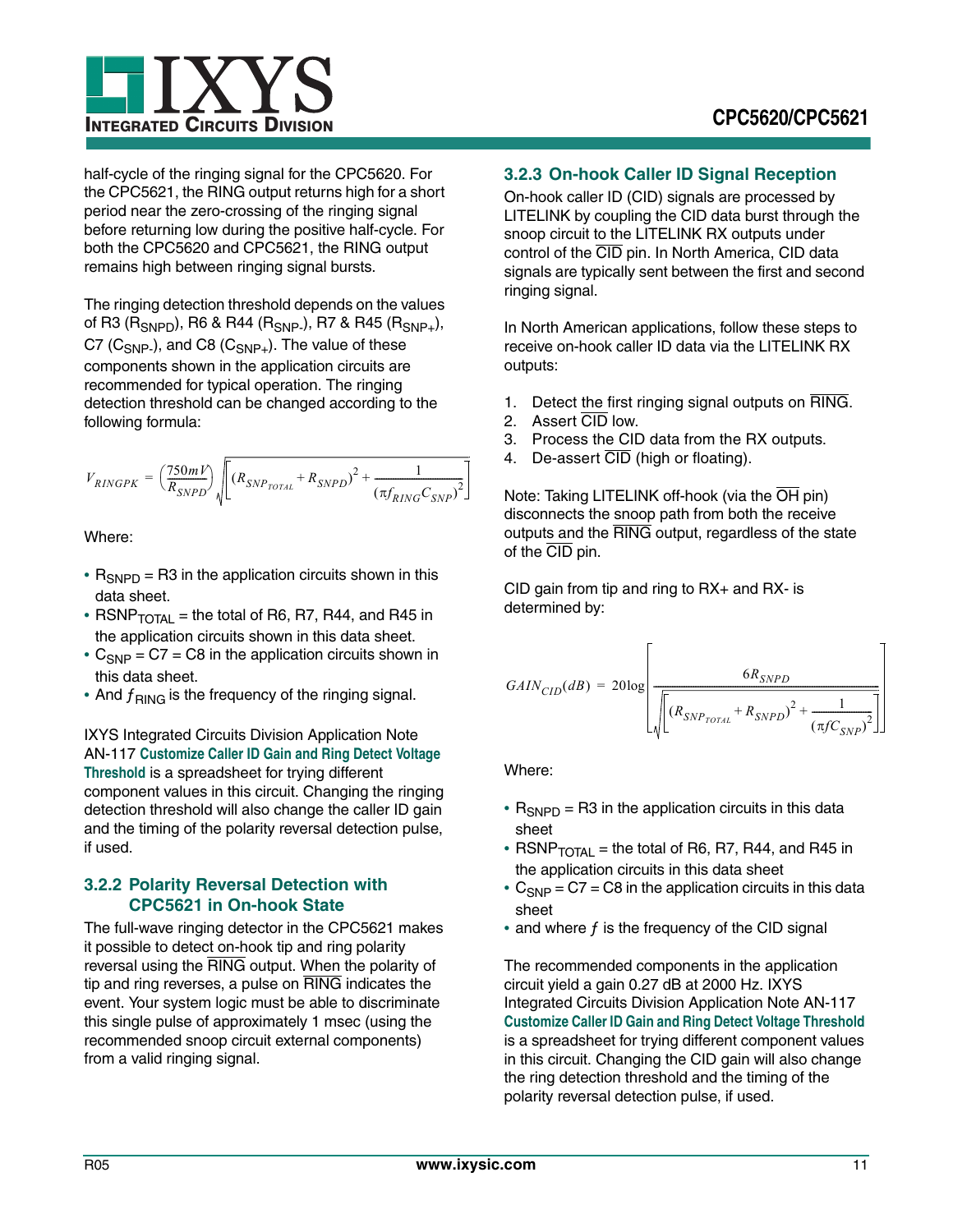![](_page_10_Picture_0.jpeg)

half-cycle of the ringing signal for the CPC5620. For the CPC5621, the RING output returns high for a short period near the zero-crossing of the ringing signal before returning low during the positive half-cycle. For both the CPC5620 and CPC5621, the RING output remains high between ringing signal bursts.

The ringing detection threshold depends on the values of R3 (R<sub>SNPD</sub>), R6 & R44 (R<sub>SNP-</sub>), R7 & R45 (R<sub>SNP+</sub>), C7 ( $C_{SNP}$ ), and C8 ( $C_{SNP+}$ ). The value of these components shown in the application circuits are recommended for typical operation. The ringing detection threshold can be changed according to the following formula:

$$
V_{RINGPK} = \left(\frac{750 mV}{R_{SNPD}}\sqrt{\left[(R_{SNP_{TOTAL}}+R_{SNPD})^2+\frac{1}{\left(\pi f_{RING}C_{SNP}\right)^2}\right]}
$$

Where:

- $R_{SNPD}$  = R3 in the application circuits shown in this data sheet.
- RSNP $_{\text{TOTAL}}$  = the total of R6, R7, R44, and R45 in the application circuits shown in this data sheet.
- $C_{SNP}$  = C7 = C8 in the application circuits shown in this data sheet.
- And  $f_{\text{RING}}$  is the frequency of the ringing signal.

IXYS Integrated Circuits Division Application Note AN-117 **[Customize Caller ID Gain and Ring Detect Voltage](http://www.clare.com/home/PDFs.nsf/www/calc5610.xls/$File/calc5610.xls)  [Threshold](http://www.clare.com/home/PDFs.nsf/www/calc5610.xls/$File/calc5610.xls)** is a spreadsheet for trying different component values in this circuit. Changing the ringing detection threshold will also change the caller ID gain and the timing of the polarity reversal detection pulse, if used.

## <span id="page-10-0"></span>**3.2.2 Polarity Reversal Detection with CPC5621 in On-hook State**

The full-wave ringing detector in the CPC5621 makes it possible to detect on-hook tip and ring polarity reversal using the RING output. When the polarity of tip and ring reverses, a pulse on RING indicates the event. Your system logic must be able to discriminate this single pulse of approximately 1 msec (using the recommended snoop circuit external components) from a valid ringing signal.

## <span id="page-10-1"></span>**3.2.3 On-hook Caller ID Signal Reception**

On-hook caller ID (CID) signals are processed by LITELINK by coupling the CID data burst through the snoop circuit to the LITELINK RX outputs under control of the CID pin. In North America, CID data signals are typically sent between the first and second ringing signal.

In North American applications, follow these steps to receive on-hook caller ID data via the LITELINK RX outputs:

- 1. Detect the first ringing signal outputs on RING.
- 2. Assert CID low.
- 3. Process the CID data from the RX outputs.
- 4. De-assert CID (high or floating).

Note: Taking LITELINK off-hook (via the OH pin) disconnects the snoop path from both the receive outputs and the RING output, regardless of the state of the CID pin.

CID gain from tip and ring to RX+ and RX- is determined by:

$$
GAIN_{CID}(dB) = 20 \log \left[\frac{6 R_{SNPD}}{\sqrt{\left[\left(R_{SNP_{TOTAL}}+R_{SNPD}\right)^2 + \frac{1}{\left(\pi f C_{SNP}\right)^2}\right]}}\right]
$$

Where:

- $R_{SNPD}$  = R3 in the application circuits in this data sheet
- $RSNP_{\text{TOTAI}}$  = the total of R6, R7, R44, and R45 in the application circuits in this data sheet
- $C_{SNP}$  =  $C7$  =  $C8$  in the application circuits in this data sheet
- and where f is the frequency of the CID signal

The recommended components in the application circuit yield a gain 0.27 dB at 2000 Hz. IXYS Integrated Circuits Division Application Note AN-117 **[Customize Caller ID Gain and Ring Detect Voltage Threshold](http://www.clare.com/home/PDFs.nsf/www/calc5610.xls/$File/calc5610.xls)** is a spreadsheet for trying different component values in this circuit. Changing the CID gain will also change the ring detection threshold and the timing of the polarity reversal detection pulse, if used.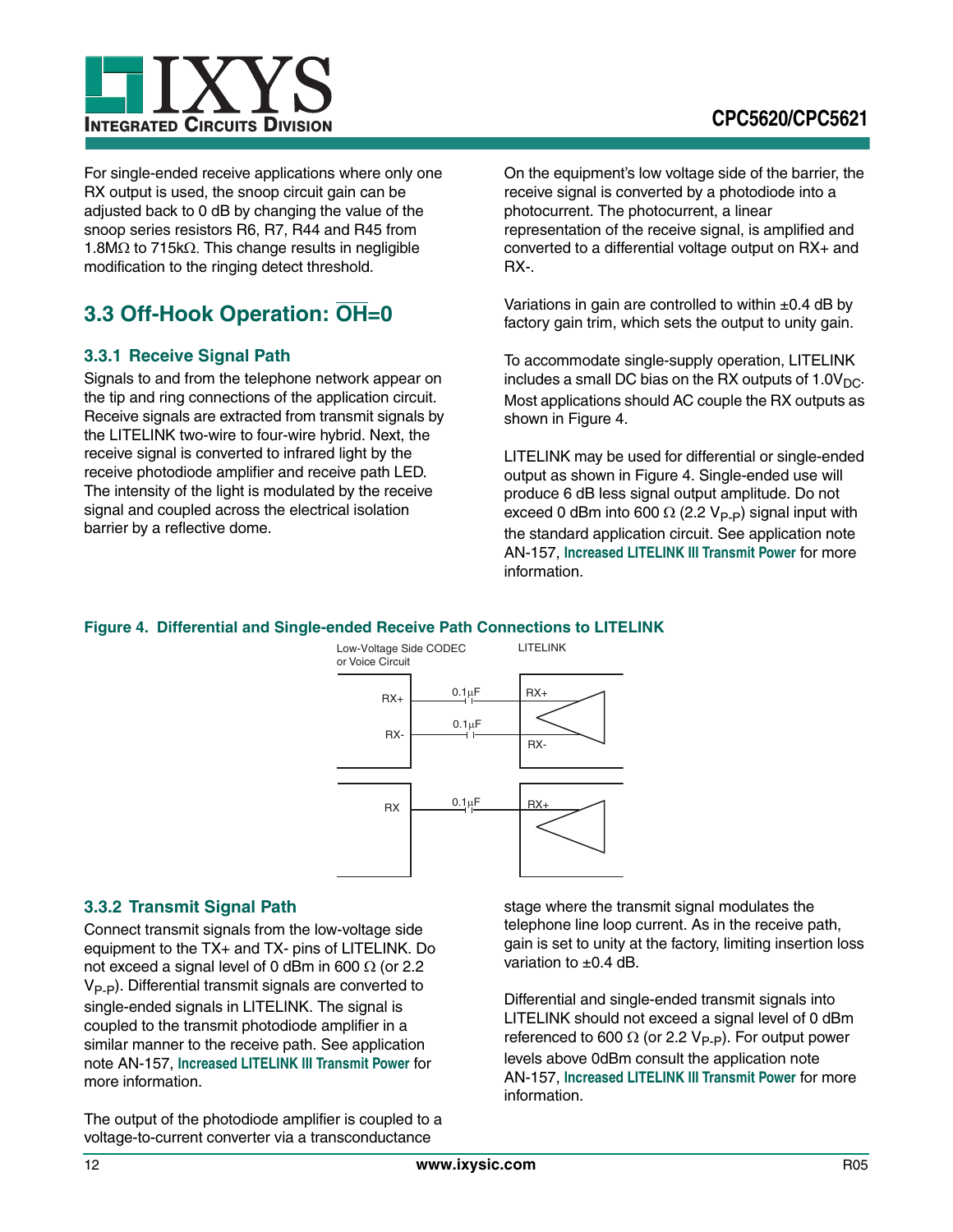![](_page_11_Picture_0.jpeg)

For single-ended receive applications where only one RX output is used, the snoop circuit gain can be adjusted back to 0 dB by changing the value of the snoop series resistors R6, R7, R44 and R45 from 1.8M $\Omega$  to 715k $\Omega$ . This change results in negligible modification to the ringing detect threshold.

# <span id="page-11-0"></span>**3.3 Off-Hook Operation: OH=0**

## <span id="page-11-1"></span>**3.3.1 Receive Signal Path**

Signals to and from the telephone network appear on the tip and ring connections of the application circuit. Receive signals are extracted from transmit signals by the LITELINK two-wire to four-wire hybrid. Next, the receive signal is converted to infrared light by the receive photodiode amplifier and receive path LED. The intensity of the light is modulated by the receive signal and coupled across the electrical isolation barrier by a reflective dome.

On the equipment's low voltage side of the barrier, the receive signal is converted by a photodiode into a photocurrent. The photocurrent, a linear representation of the receive signal, is amplified and converted to a differential voltage output on RX+ and RX-.

Variations in gain are controlled to within  $\pm 0.4$  dB by factory gain trim, which sets the output to unity gain.

To accommodate single-supply operation, LITELINK includes a small DC bias on the RX outputs of  $1.0V_{DC}$ . Most applications should AC couple the RX outputs as shown in Figure [4](#page-11-3).

LITELINK may be used for differential or single-ended output as shown in Figure [4.](#page-11-3) Single-ended use will produce 6 dB less signal output amplitude. Do not exceed 0 dBm into 600  $\Omega$  (2.2 V<sub>P-P</sub>) signal input with the standard application circuit. See application note AN-157, **[Increased LITELINK III Transmit Power](http://www.clare.com/home/PDFs.nsf/www/an-157.pdf/$File/an-157.pdf)** for more information.

## <span id="page-11-3"></span>**Figure 4. Differential and Single-ended Receive Path Connections to LITELINK**

![](_page_11_Figure_11.jpeg)

## <span id="page-11-2"></span>**3.3.2 Transmit Signal Path**

Connect transmit signals from the low-voltage side equipment to the TX+ and TX- pins of LITELINK. Do not exceed a signal level of 0 dBm in 600  $\Omega$  (or 2.2  $V_{\text{P-P}}$ ). Differential transmit signals are converted to single-ended signals in LITELINK. The signal is coupled to the transmit photodiode amplifier in a similar manner to the receive path. See application note AN-157, **[Increased LITELINK III Transmit Power](http://www.clare.com/home/PDFs.nsf/www/an-157.pdf/$File/an-157.pdf)** for more information.

The output of the photodiode amplifier is coupled to a voltage-to-current converter via a transconductance

stage where the transmit signal modulates the telephone line loop current. As in the receive path, gain is set to unity at the factory, limiting insertion loss variation to  $\pm 0.4$  dB.

Differential and single-ended transmit signals into LITELINK should not exceed a signal level of 0 dBm referenced to 600  $\Omega$  (or 2.2 V<sub>P-P</sub>). For output power levels above 0dBm consult the application note AN-157, **[Increased LITELINK III Transmit Power](http://www.clare.com/home/PDFs.nsf/www/an-157.pdf/$File/an-157.pdf)** for more information.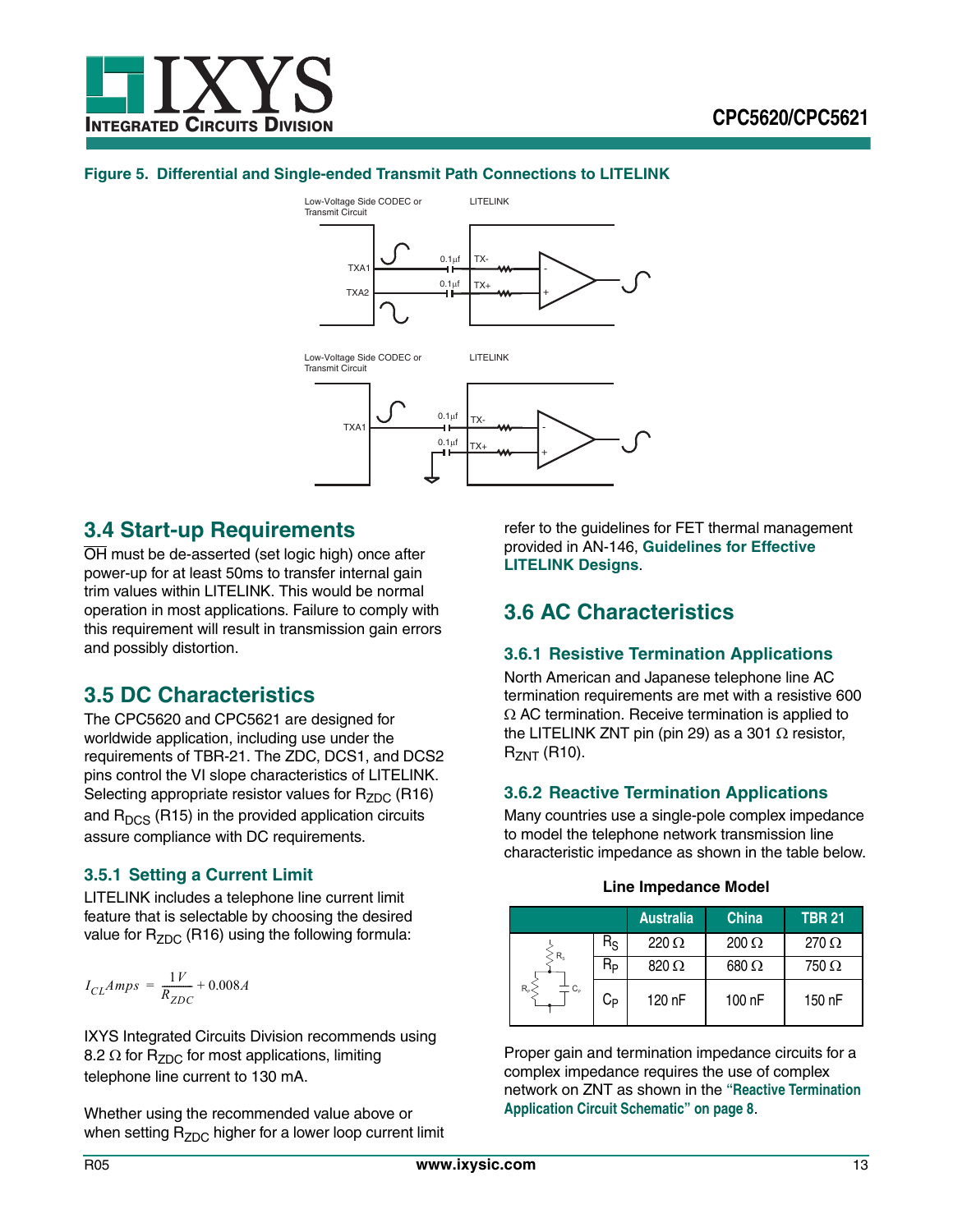![](_page_12_Picture_0.jpeg)

#### **Figure 5. Differential and Single-ended Transmit Path Connections to LITELINK**

![](_page_12_Figure_3.jpeg)

# <span id="page-12-0"></span>**3.4 Start-up Requirements**

OH must be de-asserted (set logic high) once after power-up for at least 50ms to transfer internal gain trim values within LITELINK. This would be normal operation in most applications. Failure to comply with this requirement will result in transmission gain errors and possibly distortion.

# <span id="page-12-1"></span>**3.5 DC Characteristics**

The CPC5620 and CPC5621 are designed for worldwide application, including use under the requirements of TBR-21. The ZDC, DCS1, and DCS2 pins control the VI slope characteristics of LITELINK. Selecting appropriate resistor values for  $R_{ZDC}$  (R16) and  $R<sub>DCS</sub>$  (R15) in the provided application circuits assure compliance with DC requirements.

### <span id="page-12-2"></span>**3.5.1 Setting a Current Limit**

LITELINK includes a telephone line current limit feature that is selectable by choosing the desired value for  $R_{ZDC}$  (R16) using the following formula:

$$
I_{CL}Amps = \frac{1V}{R_{ZDC}} + 0.008A
$$

IXYS Integrated Circuits Division recommends using 8.2  $\Omega$  for R<sub>ZDC</sub> for most applications, limiting telephone line current to 130 mA.

Whether using the recommended value above or when setting  $R_{ZDC}$  higher for a lower loop current limit refer to the guidelines for FET thermal management provided in AN-146, **[Guidelines for Effective](http://www.clare.com/home/PDFs.nsf/www/an-146.pdf/$File/an-146.pdf)  [LITELINK Designs](http://www.clare.com/home/PDFs.nsf/www/an-146.pdf/$File/an-146.pdf)**.

# <span id="page-12-3"></span>**3.6 AC Characteristics**

## <span id="page-12-4"></span>**3.6.1 Resistive Termination Applications**

North American and Japanese telephone line AC termination requirements are met with a resistive 600  $\Omega$  AC termination. Receive termination is applied to the LITELINK ZNT pin (pin 29) as a 301  $\Omega$  resistor,  $R_{ZNT}$  (R10).

### <span id="page-12-5"></span>**3.6.2 Reactive Termination Applications**

Many countries use a single-pole complex impedance to model the telephone network transmission line characteristic impedance as shown in the table below.

|  |  |  | <b>Line Impedance Model</b> |
|--|--|--|-----------------------------|
|--|--|--|-----------------------------|

|                        |                      | <b>Australia</b> | <b>China</b> | <b>TBR 21</b>   |
|------------------------|----------------------|------------------|--------------|-----------------|
| $R_{s}$                | $R_{\rm S}$          | $220 \Omega$     | $200 \Omega$ | 270 $\Omega$    |
|                        | <b>R<sub>P</sub></b> | $820 \Omega$     | 680 $\Omega$ | 750 $\, \Omega$ |
| $R_{\rm p}$<br>$C_{p}$ | С <sub>Р</sub>       | 120 nF           | 100 nF       | 150 nF          |

Proper gain and termination impedance circuits for a complex impedance requires the use of complex network on ZNT as shown in the **["Reactive Termination](#page-7-0)  [Application Circuit Schematic" on page 8](#page-7-0)**.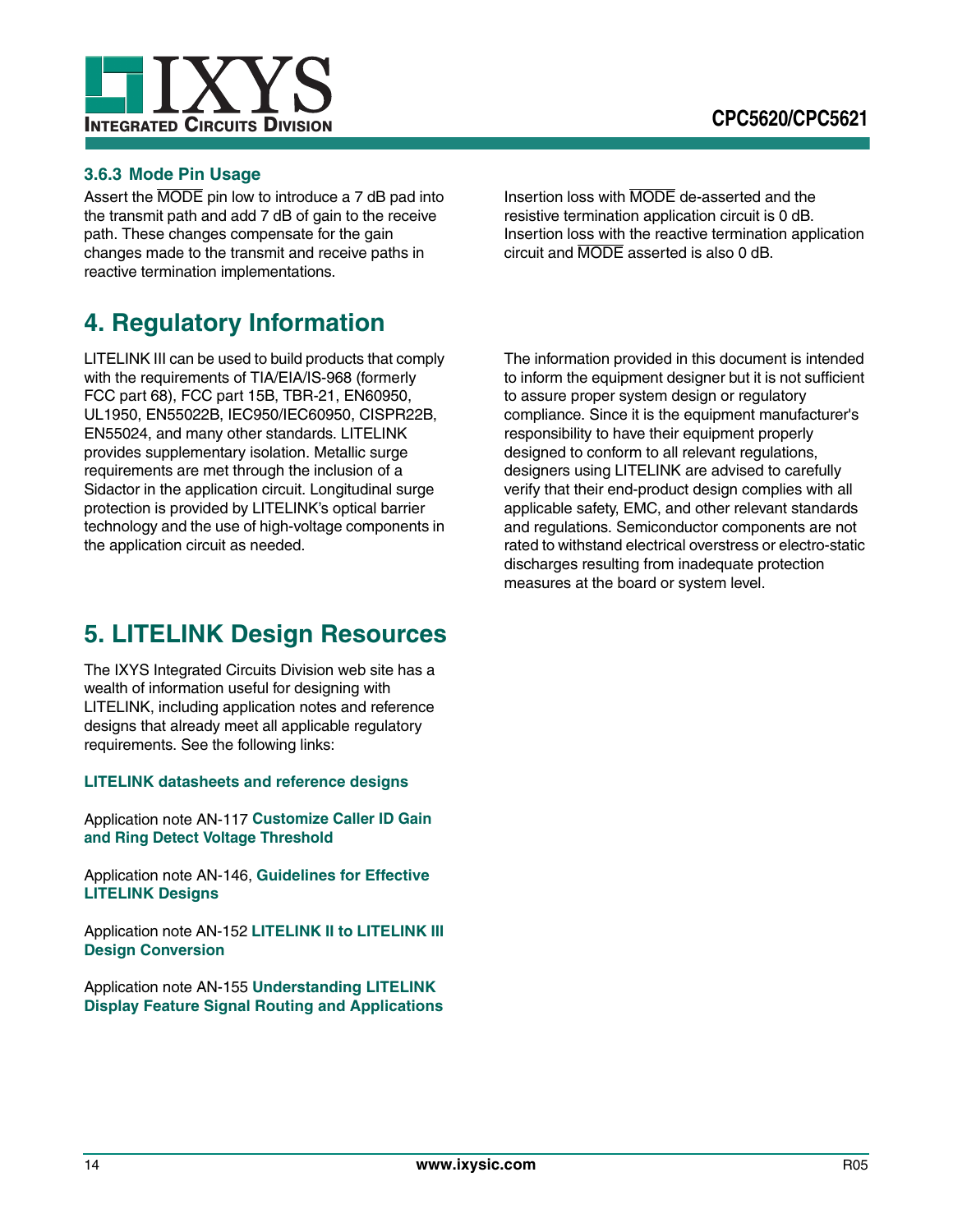![](_page_13_Picture_0.jpeg)

![](_page_13_Picture_1.jpeg)

## <span id="page-13-0"></span>**3.6.3 Mode Pin Usage**

Assert the MODE pin low to introduce a 7 dB pad into the transmit path and add 7 dB of gain to the receive path. These changes compensate for the gain changes made to the transmit and receive paths in reactive termination implementations.

# <span id="page-13-1"></span>**4. Regulatory Information**

LITELINK III can be used to build products that comply with the requirements of TIA/EIA/IS-968 (formerly FCC part 68), FCC part 15B, TBR-21, EN60950, UL1950, EN55022B, IEC950/IEC60950, CISPR22B, EN55024, and many other standards. LITELINK provides supplementary isolation. Metallic surge requirements are met through the inclusion of a Sidactor in the application circuit. Longitudinal surge protection is provided by LITELINK's optical barrier technology and the use of high-voltage components in the application circuit as needed.

# <span id="page-13-2"></span>**5. LITELINK Design Resources**

The IXYS Integrated Circuits Division web site has a wealth of information useful for designing with LITELINK, including application notes and reference designs that already meet all applicable regulatory requirements. See the following links:

### **[LITELINK datasheets and reference designs](http://www.clare.com/Products/LITELINK.htm)**

Application note AN-117 **[Customize Caller ID Gain](http://www.clare.com/home/PDFs.nsf/www/calc5610.xls/$File/calc5610.xls)  [and Ring Detect Voltage Threshold](http://www.clare.com/home/PDFs.nsf/www/calc5610.xls/$File/calc5610.xls)**

Application note AN-146, **[Guidelines for Effective](http://www.clare.com/home/PDFs.nsf/www/an-146.pdf/$File/an-146.pdf)  [LITELINK Designs](http://www.clare.com/home/PDFs.nsf/www/an-146.pdf/$File/an-146.pdf)**

Application note AN-152 **[LITELINK II to LITELINK III](http://www.clare.com/home/pdfs.nsf/www/an-152.pdf/$file/an-152.pdf)  [Design Conversion](http://www.clare.com/home/pdfs.nsf/www/an-152.pdf/$file/an-152.pdf)**

Application note AN-155 **[Understanding LITELINK](http://www.clare.com/home/pdfs.nsf/www/an-155.pdf/$file/an-155.pdf)  [Display Feature Signal Routing and Applications](http://www.clare.com/home/pdfs.nsf/www/an-155.pdf/$file/an-155.pdf)** Insertion loss with MODE de-asserted and the resistive termination application circuit is 0 dB. Insertion loss with the reactive termination application circuit and MODE asserted is also 0 dB.

The information provided in this document is intended to inform the equipment designer but it is not sufficient to assure proper system design or regulatory compliance. Since it is the equipment manufacturer's responsibility to have their equipment properly designed to conform to all relevant regulations, designers using LITELINK are advised to carefully verify that their end-product design complies with all applicable safety, EMC, and other relevant standards and regulations. Semiconductor components are not rated to withstand electrical overstress or electro-static discharges resulting from inadequate protection measures at the board or system level.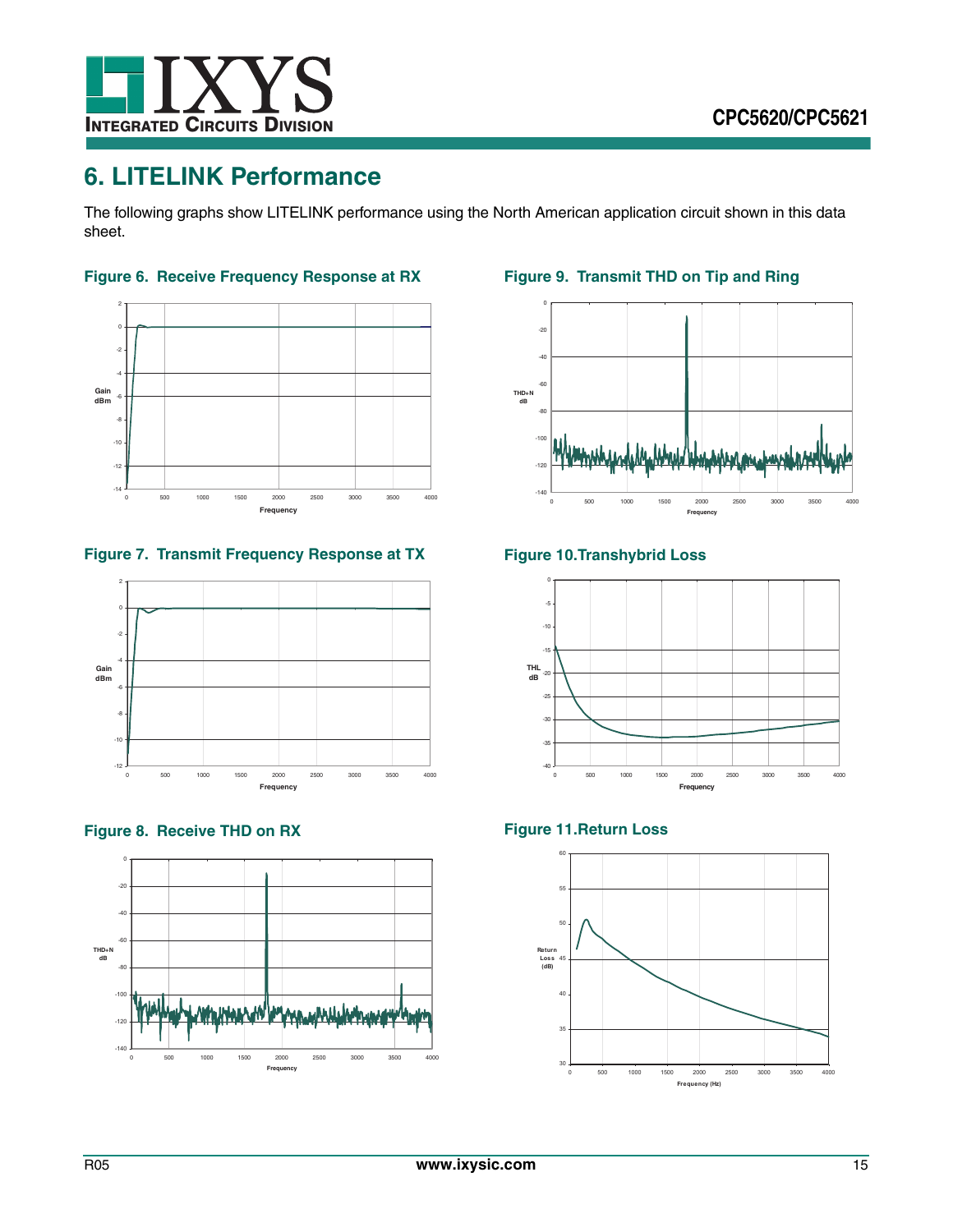![](_page_14_Picture_0.jpeg)

# <span id="page-14-0"></span>**6. LITELINK Performance**

The following graphs show LITELINK performance using the North American application circuit shown in this data sheet.

![](_page_14_Figure_4.jpeg)

![](_page_14_Figure_5.jpeg)

**Figure 7. Transmit Frequency Response at TX**

![](_page_14_Figure_7.jpeg)

![](_page_14_Figure_8.jpeg)

![](_page_14_Figure_9.jpeg)

**Figure 9. Transmit THD on Tip and Ring**

![](_page_14_Figure_11.jpeg)

# **Figure 10.Transhybrid Loss**

![](_page_14_Figure_13.jpeg)

## **Figure 11.Return Loss**

![](_page_14_Figure_15.jpeg)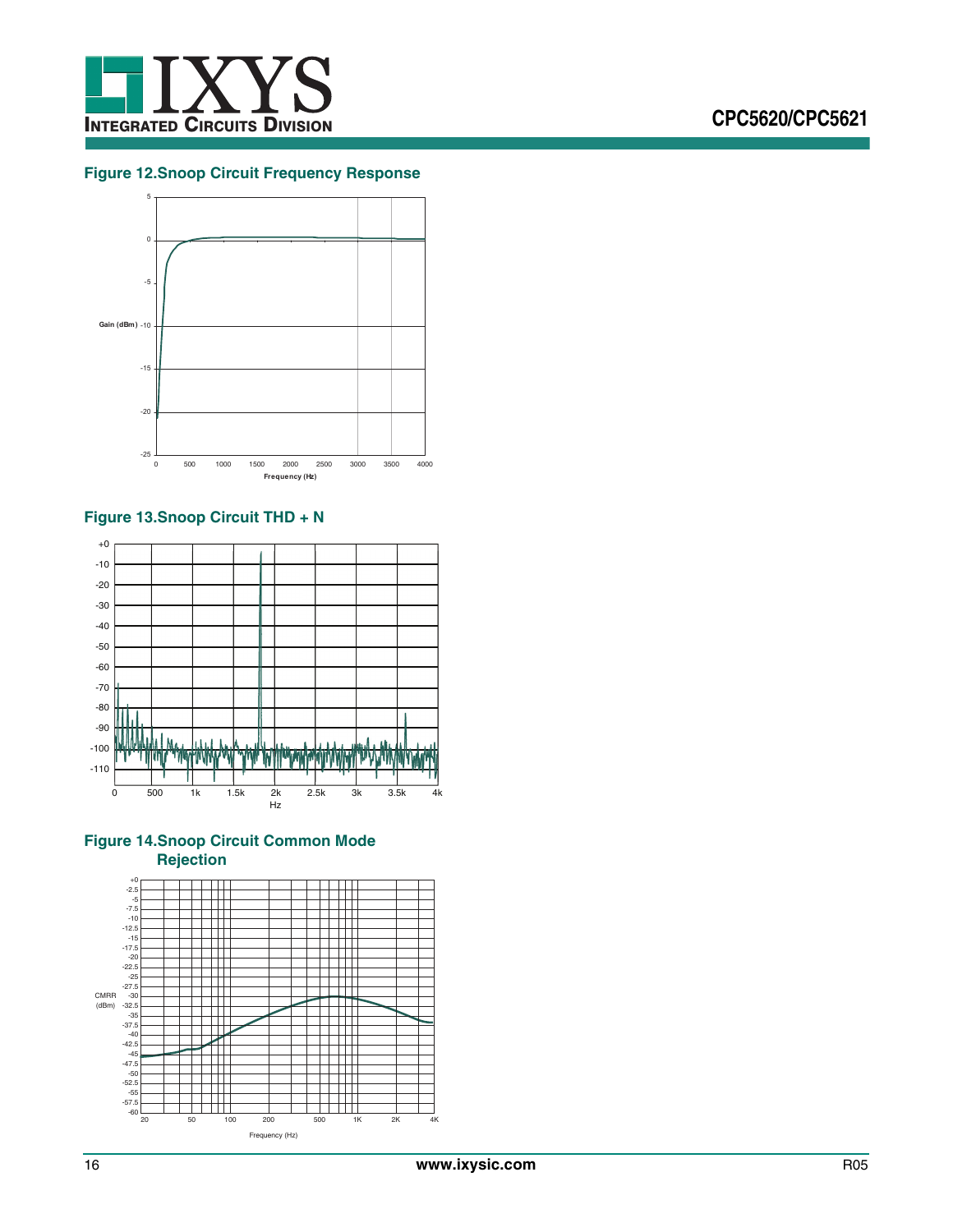![](_page_15_Picture_0.jpeg)

### **Figure 12.Snoop Circuit Frequency Response**

![](_page_15_Figure_3.jpeg)

## **Figure 13.Snoop Circuit THD + N**

![](_page_15_Figure_5.jpeg)

## **Figure 14.Snoop Circuit Common Mode Rejection**

![](_page_15_Figure_7.jpeg)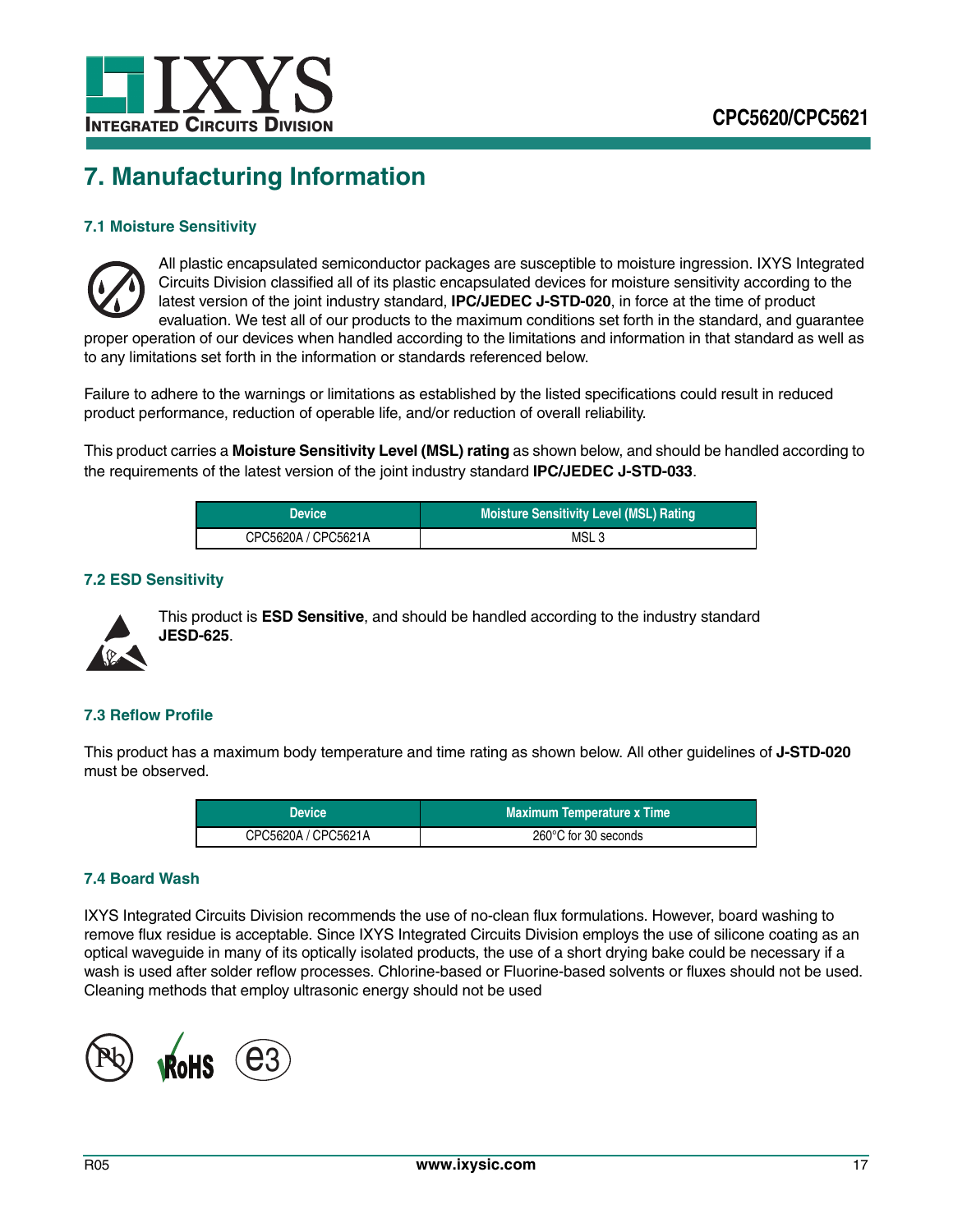![](_page_16_Picture_0.jpeg)

# <span id="page-16-0"></span>**7. Manufacturing Information**

## **7.1 Moisture Sensitivity**

![](_page_16_Picture_4.jpeg)

All plastic encapsulated semiconductor packages are susceptible to moisture ingression. IXYS Integrated Circuits Division classified all of its plastic encapsulated devices for moisture sensitivity according to the latest version of the joint industry standard, **IPC/JEDEC J-STD-020**, in force at the time of product evaluation. We test all of our products to the maximum conditions set forth in the standard, and guarantee

proper operation of our devices when handled according to the limitations and information in that standard as well as to any limitations set forth in the information or standards referenced below.

Failure to adhere to the warnings or limitations as established by the listed specifications could result in reduced product performance, reduction of operable life, and/or reduction of overall reliability.

This product carries a **Moisture Sensitivity Level (MSL) rating** as shown below, and should be handled according to the requirements of the latest version of the joint industry standard **IPC/JEDEC J-STD-033**.

| <b>Device</b>       | <b>Moisture Sensitivity Level (MSL) Rating</b> |
|---------------------|------------------------------------------------|
| CPC5620A / CPC5621A | MSL <sub>3</sub>                               |

### **7.2 ESD Sensitivity**

![](_page_16_Picture_11.jpeg)

This product is **ESD Sensitive**, and should be handled according to the industry standard **JESD-625**.

### **7.3 Reflow Profile**

This product has a maximum body temperature and time rating as shown below. All other guidelines of **J-STD-020** must be observed.

| <b>Device</b>       | <b>Maximum Temperature x Time</b> |
|---------------------|-----------------------------------|
| CPC5620A / CPC5621A | 260°C for 30 seconds              |

#### **7.4 Board Wash**

IXYS Integrated Circuits Division recommends the use of no-clean flux formulations. However, board washing to remove flux residue is acceptable. Since IXYS Integrated Circuits Division employs the use of silicone coating as an optical waveguide in many of its optically isolated products, the use of a short drying bake could be necessary if a wash is used after solder reflow processes. Chlorine-based or Fluorine-based solvents or fluxes should not be used. Cleaning methods that employ ultrasonic energy should not be used

![](_page_16_Picture_18.jpeg)